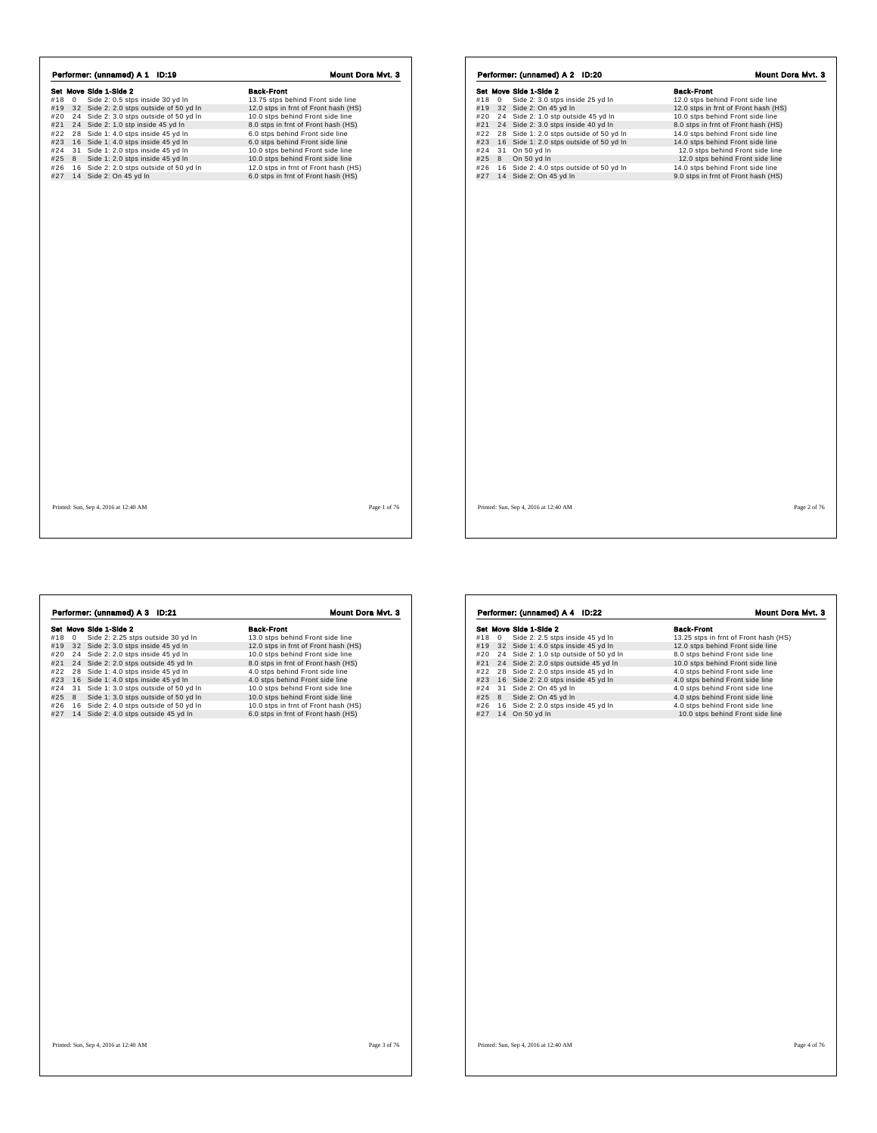|            |   | Performer: (unnamed) A 1 ID:19                                              | <b>Mount Dora Myt. 3</b>                                                 |
|------------|---|-----------------------------------------------------------------------------|--------------------------------------------------------------------------|
|            |   | Set Move Side 1-Side 2                                                      | <b>Back-Front</b>                                                        |
| #18 0      |   | Side 2: 0.5 stps inside 30 yd In                                            | 13.75 stps behind Front side line                                        |
|            |   | #19 32 Side 2: 2.0 stps outside of 50 yd In                                 | 12.0 stps in frnt of Front hash (HS)                                     |
|            |   | #20 24 Side 2: 3.0 stps outside of 50 yd In                                 | 10.0 stps behind Front side line                                         |
|            |   | #21 24 Side 2: 1.0 stp inside 45 yd In                                      | 8.0 stps in frnt of Front hash (HS)                                      |
| #22        |   | 28 Side 1: 4.0 stps inside 45 yd In                                         | 6.0 stps behind Front side line                                          |
| #23        |   | 16 Side 1: 4.0 stps inside 45 vd In                                         | 6.0 stps behind Front side line                                          |
| #24<br>#25 | 8 | 31 Side 1: 2.0 stps inside 45 yd In                                         | 10.0 stps behind Front side line                                         |
| #26        |   | Side 1: 2.0 stps inside 45 yd In<br>16 Side 2: 2.0 stps outside of 50 yd In | 10.0 stps behind Front side line<br>12.0 stps in frnt of Front hash (HS) |
|            |   | #27 14 Side 2: On 45 yd In                                                  | 6.0 stps in frnt of Front hash (HS)                                      |
|            |   |                                                                             |                                                                          |
|            |   | Printed: Sun, Sep 4, 2016 at 12:40 AM                                       | Page 1 of 76                                                             |

| Set Move Side 1-Side 2<br>Side 2: 3.0 stps inside 25 yd In<br>12.0 stps behind Front side line<br>#18<br>$\mathbf 0$<br>32 Side 2: On 45 yd In<br>12.0 stps in frnt of Front hash (HS)<br>#19<br>24 Side 2: 1.0 stp outside 45 yd In<br>#20<br>10.0 stps behind Front side line<br>24 Side 2: 3.0 stps inside 40 yd In<br>8.0 stps in frnt of Front hash (HS)<br>#21<br>28 Side 1: 2.0 stps outside of 50 yd In<br>14.0 stps behind Front side line<br>#22<br>16 Side 1: 2.0 stps outside of 50 yd In<br>14.0 stps behind Front side line<br>#23<br>31 On 50 yd In<br>12.0 stps behind Front side line<br>8<br>On 50 yd In<br>12.0 stps behind Front side line<br>16 Side 2: 4.0 stps outside of 50 yd In<br>14.0 stps behind Front side line<br>14 Side 2: On 45 yd In<br>9.0 stps in frnt of Front hash (HS)<br>Page 2 of 76 |  |                   |
|--------------------------------------------------------------------------------------------------------------------------------------------------------------------------------------------------------------------------------------------------------------------------------------------------------------------------------------------------------------------------------------------------------------------------------------------------------------------------------------------------------------------------------------------------------------------------------------------------------------------------------------------------------------------------------------------------------------------------------------------------------------------------------------------------------------------------------|--|-------------------|
|                                                                                                                                                                                                                                                                                                                                                                                                                                                                                                                                                                                                                                                                                                                                                                                                                                |  | <b>Back-Front</b> |
|                                                                                                                                                                                                                                                                                                                                                                                                                                                                                                                                                                                                                                                                                                                                                                                                                                |  |                   |
|                                                                                                                                                                                                                                                                                                                                                                                                                                                                                                                                                                                                                                                                                                                                                                                                                                |  |                   |
|                                                                                                                                                                                                                                                                                                                                                                                                                                                                                                                                                                                                                                                                                                                                                                                                                                |  |                   |
|                                                                                                                                                                                                                                                                                                                                                                                                                                                                                                                                                                                                                                                                                                                                                                                                                                |  |                   |
| #24<br>Printed: Sun, Sep 4, 2016 at 12:40 AM                                                                                                                                                                                                                                                                                                                                                                                                                                                                                                                                                                                                                                                                                                                                                                                   |  |                   |
| #25                                                                                                                                                                                                                                                                                                                                                                                                                                                                                                                                                                                                                                                                                                                                                                                                                            |  |                   |
| #26<br>#27                                                                                                                                                                                                                                                                                                                                                                                                                                                                                                                                                                                                                                                                                                                                                                                                                     |  |                   |
|                                                                                                                                                                                                                                                                                                                                                                                                                                                                                                                                                                                                                                                                                                                                                                                                                                |  |                   |
|                                                                                                                                                                                                                                                                                                                                                                                                                                                                                                                                                                                                                                                                                                                                                                                                                                |  |                   |
|                                                                                                                                                                                                                                                                                                                                                                                                                                                                                                                                                                                                                                                                                                                                                                                                                                |  |                   |
|                                                                                                                                                                                                                                                                                                                                                                                                                                                                                                                                                                                                                                                                                                                                                                                                                                |  |                   |
|                                                                                                                                                                                                                                                                                                                                                                                                                                                                                                                                                                                                                                                                                                                                                                                                                                |  |                   |
|                                                                                                                                                                                                                                                                                                                                                                                                                                                                                                                                                                                                                                                                                                                                                                                                                                |  |                   |
|                                                                                                                                                                                                                                                                                                                                                                                                                                                                                                                                                                                                                                                                                                                                                                                                                                |  |                   |
|                                                                                                                                                                                                                                                                                                                                                                                                                                                                                                                                                                                                                                                                                                                                                                                                                                |  |                   |
|                                                                                                                                                                                                                                                                                                                                                                                                                                                                                                                                                                                                                                                                                                                                                                                                                                |  |                   |
|                                                                                                                                                                                                                                                                                                                                                                                                                                                                                                                                                                                                                                                                                                                                                                                                                                |  |                   |
|                                                                                                                                                                                                                                                                                                                                                                                                                                                                                                                                                                                                                                                                                                                                                                                                                                |  |                   |
|                                                                                                                                                                                                                                                                                                                                                                                                                                                                                                                                                                                                                                                                                                                                                                                                                                |  |                   |
|                                                                                                                                                                                                                                                                                                                                                                                                                                                                                                                                                                                                                                                                                                                                                                                                                                |  |                   |
|                                                                                                                                                                                                                                                                                                                                                                                                                                                                                                                                                                                                                                                                                                                                                                                                                                |  |                   |
|                                                                                                                                                                                                                                                                                                                                                                                                                                                                                                                                                                                                                                                                                                                                                                                                                                |  |                   |
|                                                                                                                                                                                                                                                                                                                                                                                                                                                                                                                                                                                                                                                                                                                                                                                                                                |  |                   |
|                                                                                                                                                                                                                                                                                                                                                                                                                                                                                                                                                                                                                                                                                                                                                                                                                                |  |                   |
|                                                                                                                                                                                                                                                                                                                                                                                                                                                                                                                                                                                                                                                                                                                                                                                                                                |  |                   |
|                                                                                                                                                                                                                                                                                                                                                                                                                                                                                                                                                                                                                                                                                                                                                                                                                                |  |                   |
|                                                                                                                                                                                                                                                                                                                                                                                                                                                                                                                                                                                                                                                                                                                                                                                                                                |  |                   |
|                                                                                                                                                                                                                                                                                                                                                                                                                                                                                                                                                                                                                                                                                                                                                                                                                                |  |                   |
|                                                                                                                                                                                                                                                                                                                                                                                                                                                                                                                                                                                                                                                                                                                                                                                                                                |  |                   |
|                                                                                                                                                                                                                                                                                                                                                                                                                                                                                                                                                                                                                                                                                                                                                                                                                                |  |                   |
|                                                                                                                                                                                                                                                                                                                                                                                                                                                                                                                                                                                                                                                                                                                                                                                                                                |  |                   |
|                                                                                                                                                                                                                                                                                                                                                                                                                                                                                                                                                                                                                                                                                                                                                                                                                                |  |                   |
|                                                                                                                                                                                                                                                                                                                                                                                                                                                                                                                                                                                                                                                                                                                                                                                                                                |  |                   |
|                                                                                                                                                                                                                                                                                                                                                                                                                                                                                                                                                                                                                                                                                                                                                                                                                                |  |                   |
|                                                                                                                                                                                                                                                                                                                                                                                                                                                                                                                                                                                                                                                                                                                                                                                                                                |  |                   |
|                                                                                                                                                                                                                                                                                                                                                                                                                                                                                                                                                                                                                                                                                                                                                                                                                                |  |                   |
|                                                                                                                                                                                                                                                                                                                                                                                                                                                                                                                                                                                                                                                                                                                                                                                                                                |  |                   |
|                                                                                                                                                                                                                                                                                                                                                                                                                                                                                                                                                                                                                                                                                                                                                                                                                                |  |                   |
|                                                                                                                                                                                                                                                                                                                                                                                                                                                                                                                                                                                                                                                                                                                                                                                                                                |  |                   |

 $\sqrt{ }$ 

| Side 2: 2.25 stps outside 30 yd In<br>13.0 stps behind Front side line<br>12.0 stps in frnt of Front hash (HS)<br>32 Side 2: 3.0 stps inside 45 yd In<br>24 Side 2: 2.0 stps inside 45 yd In<br>10.0 stps behind Front side line |
|----------------------------------------------------------------------------------------------------------------------------------------------------------------------------------------------------------------------------------|
|                                                                                                                                                                                                                                  |
|                                                                                                                                                                                                                                  |
|                                                                                                                                                                                                                                  |
| 24 Side 2: 2.0 stps outside 45 vd In<br>8.0 stps in frnt of Front hash (HS)                                                                                                                                                      |
| 4.0 stps behind Front side line<br>28 Side 1: 4.0 stps inside 45 yd In                                                                                                                                                           |
| 4.0 stps behind Front side line<br>16 Side 1: 4.0 stps inside 45 yd In                                                                                                                                                           |
| 31 Side 1: 3.0 stps outside of 50 yd In<br>10.0 stps behind Front side line                                                                                                                                                      |
| 8 Side 1: 3.0 stps outside of 50 yd In<br>10.0 stps behind Front side line                                                                                                                                                       |
| 16 Side 2: 4.0 stps outside of 50 yd In<br>10.0 stps in frnt of Front hash (HS)                                                                                                                                                  |
| 14 Side 2: 4.0 stps outside 45 yd In<br>6.0 stps in frnt of Front hash (HS)                                                                                                                                                      |
|                                                                                                                                                                                                                                  |

|     |    | Performer: (unnamed) A 4 ID:22      | <b>Mount Dora Myt. 3</b>              |
|-----|----|-------------------------------------|---------------------------------------|
|     |    | Set Move Side 1-Side 2              | <b>Back-Front</b>                     |
| #18 | 0  | Side 2: 2.5 stps inside 45 yd In    | 13.25 stps in frnt of Front hash (HS) |
| #19 |    | 32 Side 1: 4.0 stps inside 45 yd In | 12.0 stps behind Front side line      |
| #20 | 24 | Side 2: 1.0 stp outside of 50 yd In | 8.0 stps behind Front side line       |
| #21 | 24 | Side 2: 2.0 stps outside 45 yd In   | 10.0 stps behind Front side line      |
| #22 | 28 | Side 2: 2.0 stps inside 45 yd In    | 4.0 stps behind Front side line       |
| #23 |    | 16 Side 2: 2.0 stps inside 45 yd In | 4.0 stps behind Front side line       |
| #24 |    | 31 Side 2: On 45 yd In              | 4.0 stps behind Front side line       |
| #25 | 8  | Side 2: On 45 yd In                 | 4.0 stps behind Front side line       |
| #26 |    | 16 Side 2: 2.0 stps inside 45 yd In | 4.0 stps behind Front side line       |
| #27 |    | 14 On 50 yd In                      | 10.0 stps behind Front side line      |
|     |    |                                     |                                       |
|     |    |                                     |                                       |
|     |    |                                     |                                       |
|     |    |                                     |                                       |
|     |    |                                     |                                       |
|     |    |                                     |                                       |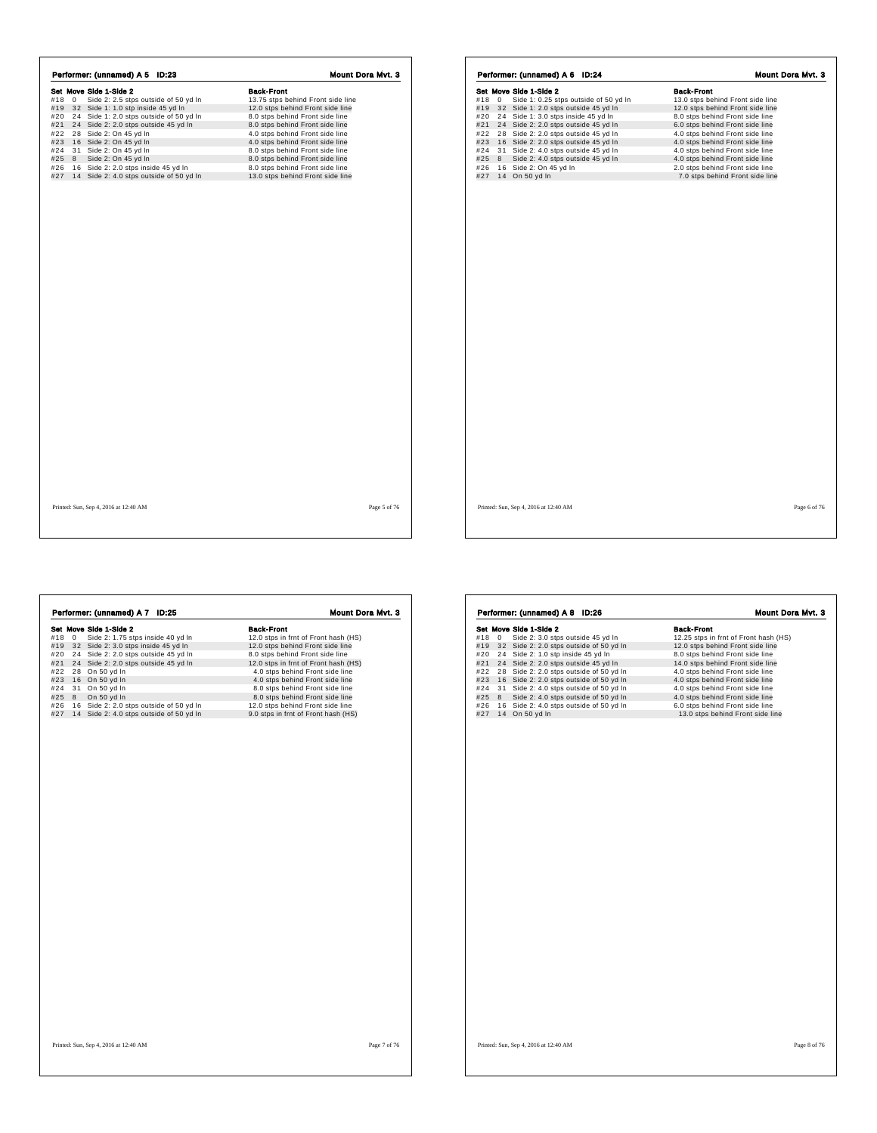|       |   | Performer: (unnamed) A 5 ID:23                                                     |                                                                       |
|-------|---|------------------------------------------------------------------------------------|-----------------------------------------------------------------------|
|       |   | Set Move Side 1-Side 2                                                             | <b>Back-Front</b>                                                     |
| #18 0 |   | Side 2: 2.5 stps outside of 50 yd In<br>#19 32 Side 1: 1.0 stp inside 45 yd In     | 13.75 stps behind Front side line<br>12.0 stps behind Front side line |
| #20   |   | 24 Side 1: 2.0 stps outside of 50 yd In                                            | 8.0 stps behind Front side line                                       |
| #21   |   | 24 Side 2: 2.0 stps outside 45 yd In                                               | 8.0 stps behind Front side line                                       |
| #22   |   | 28 Side 2: On 45 yd In                                                             | 4.0 stps behind Front side line                                       |
| #23   |   | 16 Side 2: On 45 yd In                                                             | 4.0 stps behind Front side line                                       |
| #24   |   | 31 Side 2: On 45 yd In                                                             | 8.0 stps behind Front side line                                       |
| #25   | 8 | Side 2: On 45 yd In                                                                | 8.0 stps behind Front side line                                       |
| #26   |   | 16 Side 2: 2.0 stps inside 45 yd In<br>#27 14 Side 2: 4.0 stps outside of 50 yd In | 8.0 stps behind Front side line<br>13.0 stps behind Front side line   |
|       |   |                                                                                    |                                                                       |
|       |   |                                                                                    |                                                                       |

|     |   | Performer: (unnamed) A 7 ID:25          | Mount Dora Mvt. 3                    |
|-----|---|-----------------------------------------|--------------------------------------|
|     |   | Set Move Side 1-Side 2                  | <b>Back-Front</b>                    |
| #18 | 0 | Side 2: 1.75 stps inside 40 yd In       | 12.0 stps in frnt of Front hash (HS) |
| #19 |   | 32 Side 2: 3.0 stps inside 45 yd In     | 12.0 stps behind Front side line     |
| #20 |   | 24 Side 2: 2.0 stps outside 45 yd In    | 8.0 stps behind Front side line      |
| #21 |   | 24 Side 2: 2.0 stps outside 45 yd In    | 12.0 stps in frnt of Front hash (HS) |
| #22 |   | 28 On 50 yd In                          | 4.0 stps behind Front side line      |
| #23 |   | 16 On 50 yd In                          | 4.0 stps behind Front side line      |
| #24 |   | 31 On 50 yd In                          | 8.0 stps behind Front side line      |
| #25 | 8 | On 50 yd In                             | 8.0 stps behind Front side line      |
| #26 |   | 16 Side 2: 2.0 stps outside of 50 yd In | 12.0 stps behind Front side line     |
| #27 |   | 14 Side 2: 4.0 stps outside of 50 yd In | 9.0 stps in frnt of Front hash (HS)  |
|     |   |                                         |                                      |
|     |   |                                         |                                      |

|            | Set Move Side 1-Side 2                                                      | <b>Back-Front</b>                                                   |
|------------|-----------------------------------------------------------------------------|---------------------------------------------------------------------|
| #18<br>0   | Side 1: 0.25 stps outside of 50 yd In                                       | 13.0 stps behind Front side line                                    |
| #19<br>#20 | 32 Side 1: 2.0 stps outside 45 yd In<br>24 Side 1: 3.0 stps inside 45 yd In | 12.0 stps behind Front side line<br>8.0 stps behind Front side line |
| #21        | 24 Side 2: 2.0 stps outside 45 yd In                                        | 6.0 stps behind Front side line                                     |
| #22        | 28 Side 2: 2.0 stps outside 45 yd In                                        | 4.0 stps behind Front side line                                     |
| #23        | 16 Side 2: 2.0 stps outside 45 yd In                                        | 4.0 stps behind Front side line                                     |
| #24        | 31 Side 2: 4.0 stps outside 45 yd In                                        | 4.0 stps behind Front side line                                     |
| #25<br>8   | Side 2: 4.0 stps outside 45 yd In                                           | 4.0 stps behind Front side line                                     |
| #26        | 16 Side 2: On 45 yd In                                                      | 2.0 stps behind Front side line                                     |
| #27        | 14 On 50 yd In                                                              | 7.0 stps behind Front side line                                     |
|            |                                                                             |                                                                     |
|            |                                                                             |                                                                     |

|     |              | Performer: (unnamed) A 8 ID:26          | Mount Dora Myt. 3                     |
|-----|--------------|-----------------------------------------|---------------------------------------|
|     |              | Set Move Side 1-Side 2                  | <b>Back-Front</b>                     |
| #18 | $\mathbf{0}$ | Side 2: 3.0 stps outside 45 yd In       | 12.25 stps in frnt of Front hash (HS) |
| #19 |              | 32 Side 2: 2.0 stps outside of 50 yd In | 12.0 stps behind Front side line      |
| #20 |              | 24 Side 2: 1.0 stp inside 45 yd In      | 8.0 stps behind Front side line       |
| #21 |              | 24 Side 2: 2.0 stps outside 45 yd In    | 14.0 stps behind Front side line      |
| #22 | 28           | Side 2: 2.0 stps outside of 50 yd In    | 4.0 stps behind Front side line       |
| #23 |              | 16 Side 2: 2.0 stps outside of 50 yd In | 4.0 stps behind Front side line       |
| #24 |              | 31 Side 2: 4.0 stps outside of 50 yd In | 4.0 stps behind Front side line       |
| #25 | 8            | Side 2: 4.0 stps outside of 50 yd In    | 4.0 stps behind Front side line       |
| #26 |              | 16 Side 2: 4.0 stps outside of 50 yd In | 6.0 stps behind Front side line       |
| #27 |              | 14 On 50 yd In                          | 13.0 stps behind Front side line      |
|     |              |                                         |                                       |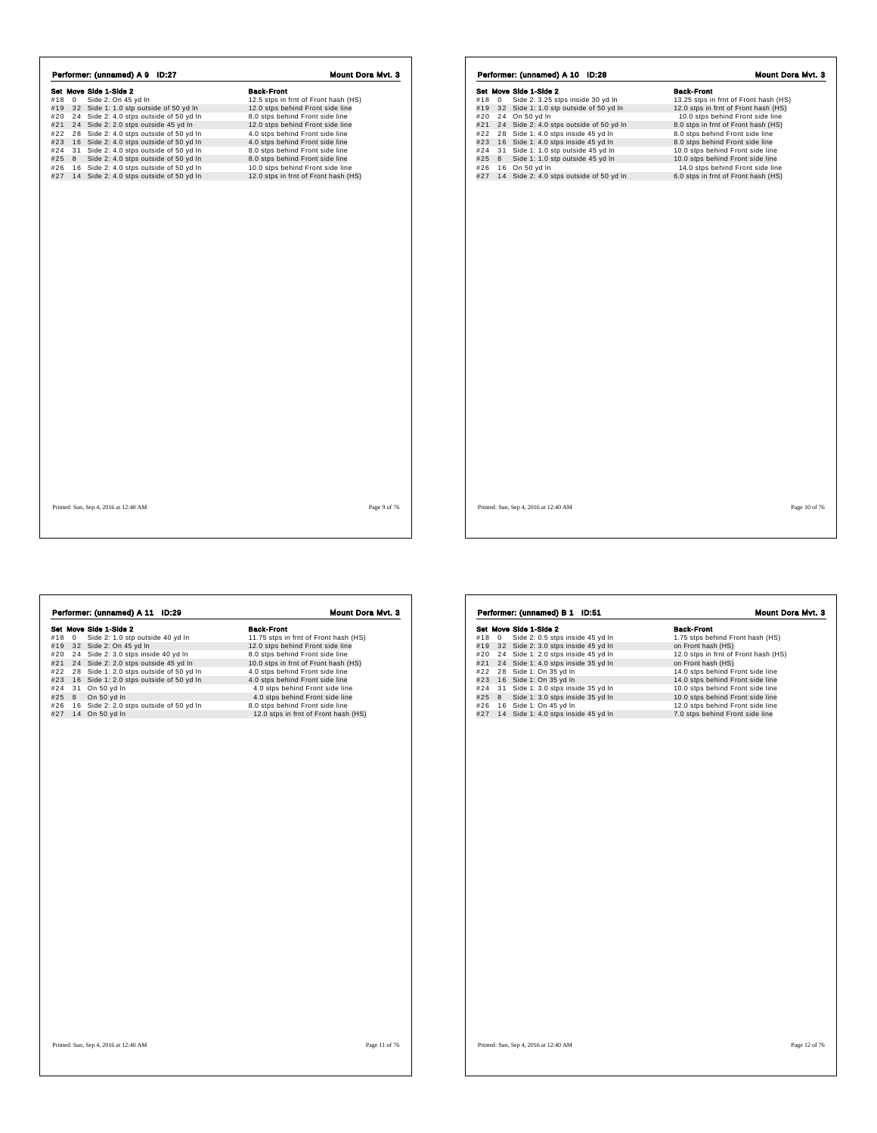|                       | Set Move Side 1-Side 2                                                          | <b>Back-Front</b>                                                   |
|-----------------------|---------------------------------------------------------------------------------|---------------------------------------------------------------------|
| #18<br>$\overline{0}$ | Side 2: On 45 yd In                                                             | 12.5 stps in frnt of Front hash (HS)                                |
| #19                   | 32 Side 1: 1.0 stp outside of 50 yd In                                          | 12.0 stps behind Front side line                                    |
| #20                   | 24 Side 2: 4.0 stps outside of 50 yd In<br>24 Side 2: 2.0 stps outside 45 yd In | 8.0 stps behind Front side line<br>12.0 stps behind Front side line |
| #21<br>#22            | 28 Side 2: 4.0 stps outside of 50 yd In                                         | 4.0 stps behind Front side line                                     |
| #23                   | 16 Side 2: 4.0 stps outside of 50 yd In                                         | 4.0 stps behind Front side line                                     |
| #24                   | 31 Side 2: 4.0 stps outside of 50 yd In                                         | 8.0 stps behind Front side line                                     |
| #25<br>8              | Side 2: 4.0 stps outside of 50 yd In                                            | 8.0 stps behind Front side line                                     |
| #26                   | 16 Side 2: 4.0 stps outside of 50 yd In                                         | 10.0 stps behind Front side line                                    |
| #27                   | 14 Side 2: 4.0 stps outside of 50 yd In                                         | 12.0 stps in frnt of Front hash (HS)                                |
|                       |                                                                                 |                                                                     |

Set Move Side 1-Side 2 3.25 stps inside 30 yd in<br>
#18 0 Side 2: 3.25 stps inside 30 yd in<br>
#19 32 Side 1: 1.0 stp outside of 50 yd in<br>
#22 28 Side 1: 4.0 stps outside of 50 yd in<br>
#22 24 Side 2: 4.0 stps outside of 50 yd i **EXECUTE 127 1 4 Side 2:** 4.0 stps in side 4 Syd ln<br> **Side 2:** 3.25 stps in side 30 yd ln 12.0 stps in frnt of Front hash (HS)<br>
#27 22 4 On 50 yd ln 12.0 stps outside of 50 yd ln 10.0 stps behind Front hash (HS)<br>
#22 28 S Performer: (unnamed) A 10 ID:28 Mount Dora Mvt. 3

Printed: Sun, Sep 4, 2016 at 12:40 AM Page 9 of 76

Printed: Sun, Sep 4, 2016 at 12:40 AM Page 10 of 76

| #18<br>#19<br>#20<br>#21<br>#22<br>#23<br>#24 | Set Move Side 1-Side 2<br>Side 2: 1.0 stp outside 40 yd In<br>0<br>32 Side 2: On 45 yd In<br>24 Side 2: 3.0 stps inside 40 yd In<br>24 Side 2: 2.0 stps outside 45 yd In<br>28 Side 1: 2.0 stps outside of 50 yd In | <b>Back-Front</b><br>11.75 stps in frnt of Front hash (HS)<br>12.0 stps behind Front side line<br>8.0 stps behind Front side line<br>10.0 stps in frnt of Front hash (HS) |
|-----------------------------------------------|---------------------------------------------------------------------------------------------------------------------------------------------------------------------------------------------------------------------|---------------------------------------------------------------------------------------------------------------------------------------------------------------------------|
|                                               |                                                                                                                                                                                                                     |                                                                                                                                                                           |
|                                               |                                                                                                                                                                                                                     |                                                                                                                                                                           |
|                                               |                                                                                                                                                                                                                     |                                                                                                                                                                           |
|                                               |                                                                                                                                                                                                                     |                                                                                                                                                                           |
|                                               |                                                                                                                                                                                                                     |                                                                                                                                                                           |
|                                               |                                                                                                                                                                                                                     | 4.0 stps behind Front side line                                                                                                                                           |
|                                               | 16 Side 1: 2.0 stps outside of 50 yd In                                                                                                                                                                             | 4.0 stps behind Front side line                                                                                                                                           |
|                                               | On 50 yd In<br>31                                                                                                                                                                                                   | 4.0 stps behind Front side line                                                                                                                                           |
| #25                                           | On 50 yd In<br>8                                                                                                                                                                                                    | 4.0 stps behind Front side line                                                                                                                                           |
| #26                                           | 16 Side 2: 2.0 stps outside of 50 yd In                                                                                                                                                                             | 8.0 stps behind Front side line                                                                                                                                           |
| #27                                           | On 50 yd In<br>14                                                                                                                                                                                                   | 12.0 stps in frnt of Front hash (HS)                                                                                                                                      |
|                                               |                                                                                                                                                                                                                     |                                                                                                                                                                           |
|                                               |                                                                                                                                                                                                                     |                                                                                                                                                                           |

|     |              | Set Move Side 1-Side 2              | <b>Back-Front</b>                    |
|-----|--------------|-------------------------------------|--------------------------------------|
| #18 | $\mathbf{0}$ | Side 2: 0.5 stps inside 45 yd In    | 1.75 stps behind Front hash (HS)     |
| #19 |              | 32 Side 2: 3.0 stps inside 45 yd In | on Front hash (HS)                   |
| #20 |              | 24 Side 1: 2.0 stps inside 45 yd In | 12.0 stps in frnt of Front hash (HS) |
| #21 |              | 24 Side 1: 4.0 stps inside 35 yd In | on Front hash (HS)                   |
| #22 |              | 28 Side 1: On 35 yd In              | 14.0 stps behind Front side line     |
| #23 |              | 16 Side 1: On 35 yd In              | 14.0 stps behind Front side line     |
| #24 |              | 31 Side 1: 3.0 stps inside 35 yd In | 10.0 stps behind Front side line     |
| #25 | 8            | Side 1: 3.0 stps inside 35 yd In    | 10.0 stps behind Front side line     |
| #26 |              | 16 Side 1: On 45 yd In              | 12.0 stps behind Front side line     |
| #27 |              | 14 Side 1: 4.0 stps inside 45 yd In | 7.0 stps behind Front side line      |
|     |              |                                     |                                      |
|     |              |                                     |                                      |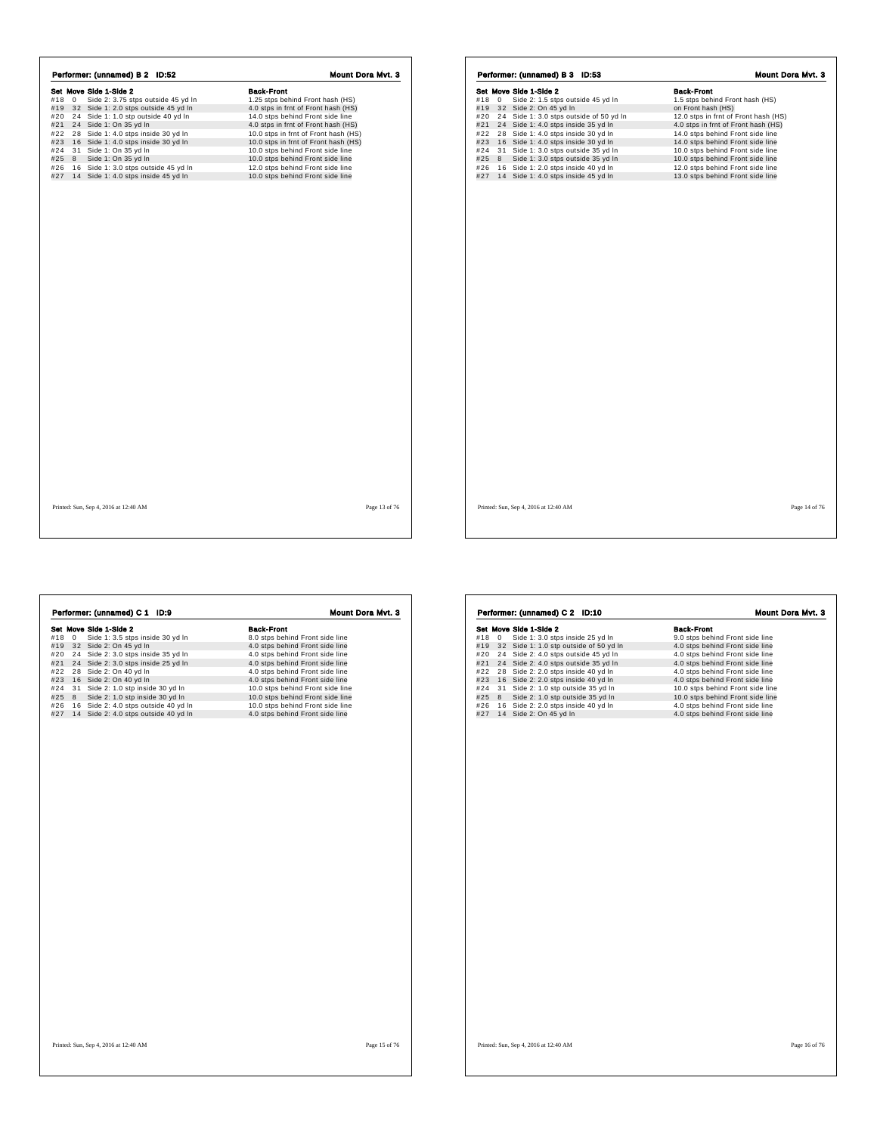|     |              | Performer: (unnamed) B 2 ID:52           | Mount Dora Mvt. 3                    |
|-----|--------------|------------------------------------------|--------------------------------------|
|     |              | Set Move Side 1-Side 2                   | <b>Back-Front</b>                    |
| #18 | $\mathbf{0}$ | Side 2: 3.75 stps outside 45 yd In       | 1.25 stps behind Front hash (HS)     |
|     |              | #19 32 Side 1: 2.0 stps outside 45 yd In | 4.0 stps in frnt of Front hash (HS)  |
| #20 |              | 24 Side 1: 1.0 stp outside 40 yd In      | 14.0 stps behind Front side line     |
| #21 |              | 24 Side 1: On 35 yd In                   | 4.0 stps in frnt of Front hash (HS)  |
| #22 |              | 28 Side 1: 4.0 stps inside 30 yd In      | 10.0 stps in frnt of Front hash (HS) |
|     |              | #23 16 Side 1: 4.0 stps inside 30 yd In  | 10.0 stps in frnt of Front hash (HS) |
| #24 |              | 31 Side 1: On 35 yd In                   | 10.0 stps behind Front side line     |
| #25 | 8            | Side 1: On 35 yd In                      | 10.0 stps behind Front side line     |
| #26 |              | 16 Side 1: 3.0 stps outside 45 yd In     | 12.0 stps behind Front side line     |
| #27 |              | 14 Side 1: 4.0 stps inside 45 yd In      | 10.0 stps behind Front side line     |
|     |              |                                          |                                      |
|     |              |                                          |                                      |
|     |              |                                          |                                      |
|     |              |                                          |                                      |
|     |              |                                          |                                      |
|     |              |                                          |                                      |
|     |              |                                          |                                      |
|     |              |                                          |                                      |
|     |              |                                          |                                      |
|     |              |                                          |                                      |
|     |              |                                          |                                      |
|     |              |                                          |                                      |
|     |              |                                          |                                      |
|     |              |                                          |                                      |
|     |              |                                          |                                      |
|     |              |                                          |                                      |
|     |              |                                          |                                      |
|     |              |                                          |                                      |
|     |              |                                          |                                      |
|     |              |                                          |                                      |
|     |              |                                          |                                      |
|     |              |                                          |                                      |
|     |              |                                          |                                      |
|     |              |                                          |                                      |
|     |              |                                          |                                      |
|     |              |                                          |                                      |
|     |              |                                          |                                      |

|     |             | Performer: (unnamed) B 3 ID:53          | <b>Mount Dora Myt. 3</b>             |
|-----|-------------|-----------------------------------------|--------------------------------------|
|     |             | Set Move Side 1-Side 2                  | <b>Back-Front</b>                    |
| #18 | $\mathbf 0$ | Side 2: 1.5 stps outside 45 yd In       | 1.5 stps behind Front hash (HS)      |
| #19 |             | 32 Side 2: On 45 yd In                  | on Front hash (HS)                   |
| #20 |             | 24 Side 1: 3.0 stps outside of 50 yd In | 12.0 stps in frnt of Front hash (HS) |
| #21 |             | 24 Side 1: 4.0 stps inside 35 yd In     | 4.0 stps in frnt of Front hash (HS)  |
| #22 |             | 28 Side 1: 4.0 stps inside 30 yd In     | 14.0 stps behind Front side line     |
|     |             | #23 16 Side 1: 4.0 stps inside 30 yd In | 14.0 stps behind Front side line     |
| #24 |             | 31 Side 1: 3.0 stps outside 35 yd In    | 10.0 stps behind Front side line     |
| #25 | 8           | Side 1: 3.0 stps outside 35 yd In       | 10.0 stps behind Front side line     |
| #26 |             | 16 Side 1: 2.0 stps inside 40 yd In     | 12.0 stps behind Front side line     |
|     |             | #27 14 Side 1: 4.0 stps inside 45 yd In | 13.0 stps behind Front side line     |
|     |             |                                         |                                      |
|     |             |                                         |                                      |

| I |  |
|---|--|
|---|--|

|     |            | Performer: (unnamed) C 1 ID:9        | Mount Dora Myt. 3                |
|-----|------------|--------------------------------------|----------------------------------|
|     |            | Set Move Side 1-Side 2               | <b>Back-Front</b>                |
| #18 | $^{\circ}$ | Side 1: 3.5 stps inside 30 yd In     | 8.0 stps behind Front side line  |
| #19 |            | 32 Side 2: On 45 yd In               | 4.0 stps behind Front side line  |
| #20 |            | 24 Side 2: 3.0 stps inside 35 yd In  | 4.0 stps behind Front side line  |
| #21 |            | 24 Side 2: 3.0 stps inside 25 yd In  | 4.0 stps behind Front side line  |
| #22 | 28         | Side 2: On 40 yd In                  | 4.0 stps behind Front side line  |
| #23 |            | 16 Side 2: On 40 yd In               | 4.0 stps behind Front side line  |
| #24 |            | 31 Side 2: 1.0 stp inside 30 yd In   | 10.0 stps behind Front side line |
| #25 |            | 8 Side 2: 1.0 stp inside 30 yd In    | 10.0 stps behind Front side line |
| #26 |            | 16 Side 2: 4.0 stps outside 40 yd In | 10.0 stps behind Front side line |
| #27 |            | 14 Side 2: 4.0 stps outside 40 yd In | 4.0 stps behind Front side line  |
|     |            |                                      |                                  |

|     |              | Set Move Side 1-Side 2                 | <b>Back-Front</b>                |
|-----|--------------|----------------------------------------|----------------------------------|
| #18 | $\mathbf{0}$ | Side 1: 3.0 stps inside 25 yd In       | 9.0 stps behind Front side line  |
| #19 |              | 32 Side 1: 1.0 stp outside of 50 yd In | 4.0 stps behind Front side line  |
| #20 |              | 24 Side 2: 4.0 stps outside 45 yd In   | 4.0 stps behind Front side line  |
| #21 |              | 24 Side 2: 4.0 stps outside 35 yd In   | 4.0 stps behind Front side line  |
| #22 |              | 28 Side 2: 2.0 stps inside 40 yd In    | 4.0 stps behind Front side line  |
| #23 |              | 16 Side 2: 2.0 stps inside 40 yd In    | 4.0 stps behind Front side line  |
| #24 | 31           | Side 2: 1.0 stp outside 35 yd In       | 10.0 stps behind Front side line |
| #25 | 8            | Side 2: 1.0 stp outside 35 yd In       | 10.0 stps behind Front side line |
| #26 |              | 16 Side 2: 2.0 stps inside 40 yd In    | 4.0 stps behind Front side line  |
| #27 |              | 14 Side 2: On 45 yd In                 | 4.0 stps behind Front side line  |
|     |              |                                        |                                  |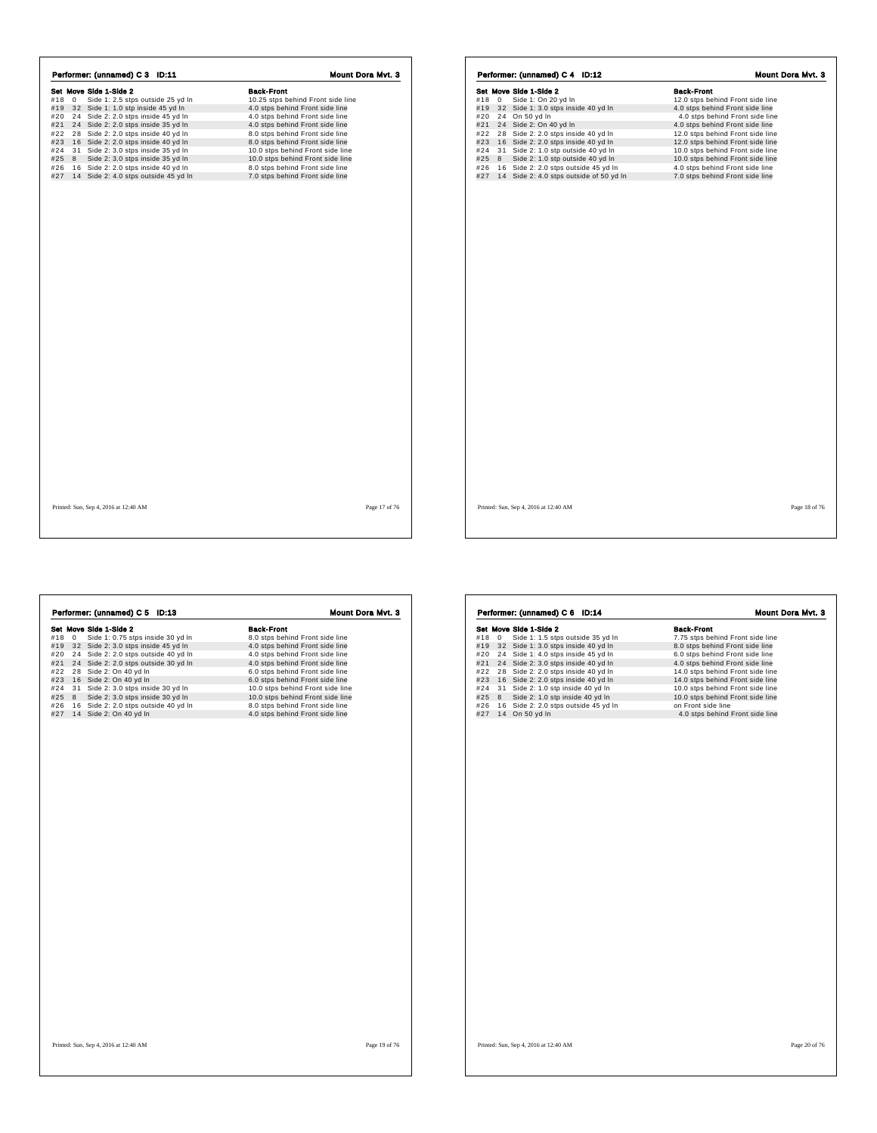|            |              | Set Move Side 1-Side 2                                                      | <b>Back-Front</b>                                                  |
|------------|--------------|-----------------------------------------------------------------------------|--------------------------------------------------------------------|
| #18        | $\mathbf{0}$ | Side 1: 2.5 stps outside 25 yd In                                           | 10.25 stps behind Front side line                                  |
|            |              | #19 32 Side 1: 1.0 stp inside 45 yd In                                      | 4.0 stps behind Front side line                                    |
|            |              | #20 24 Side 2: 2.0 stps inside 45 yd In                                     | 4.0 stps behind Front side line                                    |
| #21        |              | 24 Side 2: 2.0 stps inside 35 yd In                                         | 4.0 stps behind Front side line                                    |
| #22        |              | 28 Side 2: 2.0 stps inside 40 yd In                                         | 8.0 stps behind Front side line                                    |
| #23        |              | 16 Side 2: 2.0 stps inside 40 yd In                                         | 8.0 stps behind Front side line                                    |
| #24        |              | 31 Side 2: 3.0 stps inside 35 yd In                                         | 10.0 stps behind Front side line                                   |
| #25        | 8            | Side 2: 3.0 stps inside 35 yd In                                            | 10.0 stps behind Front side line                                   |
| #26<br>#27 |              | 16 Side 2: 2.0 stps inside 40 yd In<br>14 Side 2: 4.0 stps outside 45 yd In | 8.0 stps behind Front side line<br>7.0 stps behind Front side line |
|            |              |                                                                             |                                                                    |
|            |              |                                                                             |                                                                    |

|     |   | Set Move Side 1-Side 2                  |  |  | <b>Back-Front</b>                |                                 |  |  |
|-----|---|-----------------------------------------|--|--|----------------------------------|---------------------------------|--|--|
| #18 | 0 | Side 1: On 20 yd In                     |  |  | 12.0 stps behind Front side line |                                 |  |  |
| #19 |   | 32 Side 1: 3.0 stps inside 40 yd In     |  |  | 4.0 stps behind Front side line  |                                 |  |  |
| #20 |   | 24 On 50 yd In                          |  |  |                                  | 4.0 stps behind Front side line |  |  |
| #21 |   | 24 Side 2: On 40 yd In                  |  |  | 4.0 stps behind Front side line  |                                 |  |  |
| #22 |   | 28 Side 2: 2.0 stps inside 40 yd In     |  |  | 12.0 stps behind Front side line |                                 |  |  |
| #23 |   | 16 Side 2: 2.0 stps inside 40 yd In     |  |  | 12.0 stps behind Front side line |                                 |  |  |
| #24 |   | 31 Side 2: 1.0 stp outside 40 yd In     |  |  | 10.0 stps behind Front side line |                                 |  |  |
| #25 | 8 | Side 2: 1.0 stp outside 40 yd In        |  |  | 10.0 stps behind Front side line |                                 |  |  |
| #26 |   | 16 Side 2: 2.0 stps outside 45 yd In    |  |  | 4.0 stps behind Front side line  |                                 |  |  |
| #27 |   | 14 Side 2: 4.0 stps outside of 50 yd In |  |  | 7.0 stps behind Front side line  |                                 |  |  |
|     |   |                                         |  |  |                                  |                                 |  |  |
|     |   |                                         |  |  |                                  |                                 |  |  |
|     |   |                                         |  |  |                                  |                                 |  |  |
|     |   |                                         |  |  |                                  |                                 |  |  |
|     |   |                                         |  |  |                                  |                                 |  |  |
|     |   |                                         |  |  |                                  |                                 |  |  |
|     |   |                                         |  |  |                                  |                                 |  |  |
|     |   |                                         |  |  |                                  |                                 |  |  |
|     |   |                                         |  |  |                                  |                                 |  |  |
|     |   |                                         |  |  |                                  |                                 |  |  |
|     |   |                                         |  |  |                                  |                                 |  |  |
|     |   |                                         |  |  |                                  |                                 |  |  |
|     |   |                                         |  |  |                                  |                                 |  |  |
|     |   |                                         |  |  |                                  |                                 |  |  |
|     |   |                                         |  |  |                                  |                                 |  |  |
|     |   |                                         |  |  |                                  |                                 |  |  |
|     |   |                                         |  |  |                                  |                                 |  |  |
|     |   |                                         |  |  |                                  |                                 |  |  |
|     |   |                                         |  |  |                                  |                                 |  |  |
|     |   |                                         |  |  |                                  |                                 |  |  |
|     |   |                                         |  |  |                                  |                                 |  |  |
|     |   |                                         |  |  |                                  |                                 |  |  |
|     |   |                                         |  |  |                                  |                                 |  |  |
|     |   |                                         |  |  |                                  |                                 |  |  |
|     |   |                                         |  |  |                                  |                                 |  |  |
|     |   |                                         |  |  |                                  |                                 |  |  |
|     |   |                                         |  |  |                                  |                                 |  |  |
|     |   |                                         |  |  |                                  |                                 |  |  |
|     |   |                                         |  |  |                                  |                                 |  |  |

 $\overline{1}$ 

|     |             | Performer: (unnamed) C 5 ID:13      | Mount Dora Myt. 3                |
|-----|-------------|-------------------------------------|----------------------------------|
|     |             | Set Move Side 1-Side 2              | <b>Back-Front</b>                |
| #18 | $\mathbf 0$ | Side 1: 0.75 stps inside 30 yd In   | 8.0 stps behind Front side line  |
| #19 | 32          | Side 2: 3.0 stps inside 45 yd In    | 4.0 stps behind Front side line  |
| #20 | 24          | Side 2: 2.0 stps outside 40 yd In   | 4.0 stps behind Front side line  |
| #21 | 24          | Side 2: 2.0 stps outside 30 yd In   | 4.0 stps behind Front side line  |
| #22 | 28          | Side 2: On 40 yd In                 | 6.0 stps behind Front side line  |
| #23 |             | 16 Side 2: On 40 yd In              | 6.0 stps behind Front side line  |
| #24 |             | 31 Side 2: 3.0 stps inside 30 yd In | 10.0 stps behind Front side line |
| #25 | 8           | Side 2: 3.0 stps inside 30 yd In    | 10.0 stps behind Front side line |
| #26 | 16          | Side 2: 2.0 stps outside 40 yd In   | 8.0 stps behind Front side line  |
| #27 |             | 14 Side 2: On 40 yd In              | 4.0 stps behind Front side line  |
|     |             |                                     |                                  |
|     |             |                                     |                                  |
|     |             |                                     |                                  |
|     |             |                                     |                                  |
|     |             |                                     |                                  |

|     |            | Performer: (unnamed) C 6 ID:14      | Mount Dora Myt. 3                |
|-----|------------|-------------------------------------|----------------------------------|
|     |            | Set Move Side 1-Side 2              | <b>Back-Front</b>                |
| #18 | $^{\circ}$ | Side 1: 1.5 stps outside 35 yd In   | 7.75 stps behind Front side line |
| #19 |            | 32 Side 1: 3.0 stps inside 40 yd In | 8.0 stps behind Front side line  |
| #20 | 24         | Side 1: 4.0 stps inside 45 yd In    | 6.0 stps behind Front side line  |
| #21 |            | 24 Side 2: 3.0 stps inside 40 yd In | 4.0 stps behind Front side line  |
| #22 | 28         | Side 2: 2.0 stps inside 40 yd In    | 14.0 stps behind Front side line |
| #23 |            | 16 Side 2: 2.0 stps inside 40 yd In | 14.0 stps behind Front side line |
| #24 | 31         | Side 2: 1.0 stp inside 40 yd In     | 10.0 stps behind Front side line |
| #25 | 8          | Side 2: 1.0 stp inside 40 yd In     | 10.0 stps behind Front side line |
| #26 | 16         | Side 2: 2.0 stps outside 45 yd In   | on Front side line               |
| #27 | 14         | On 50 yd In                         | 4.0 stps behind Front side line  |
|     |            |                                     |                                  |
|     |            |                                     |                                  |
|     |            |                                     |                                  |
|     |            |                                     |                                  |
|     |            |                                     |                                  |
|     |            |                                     |                                  |
|     |            |                                     |                                  |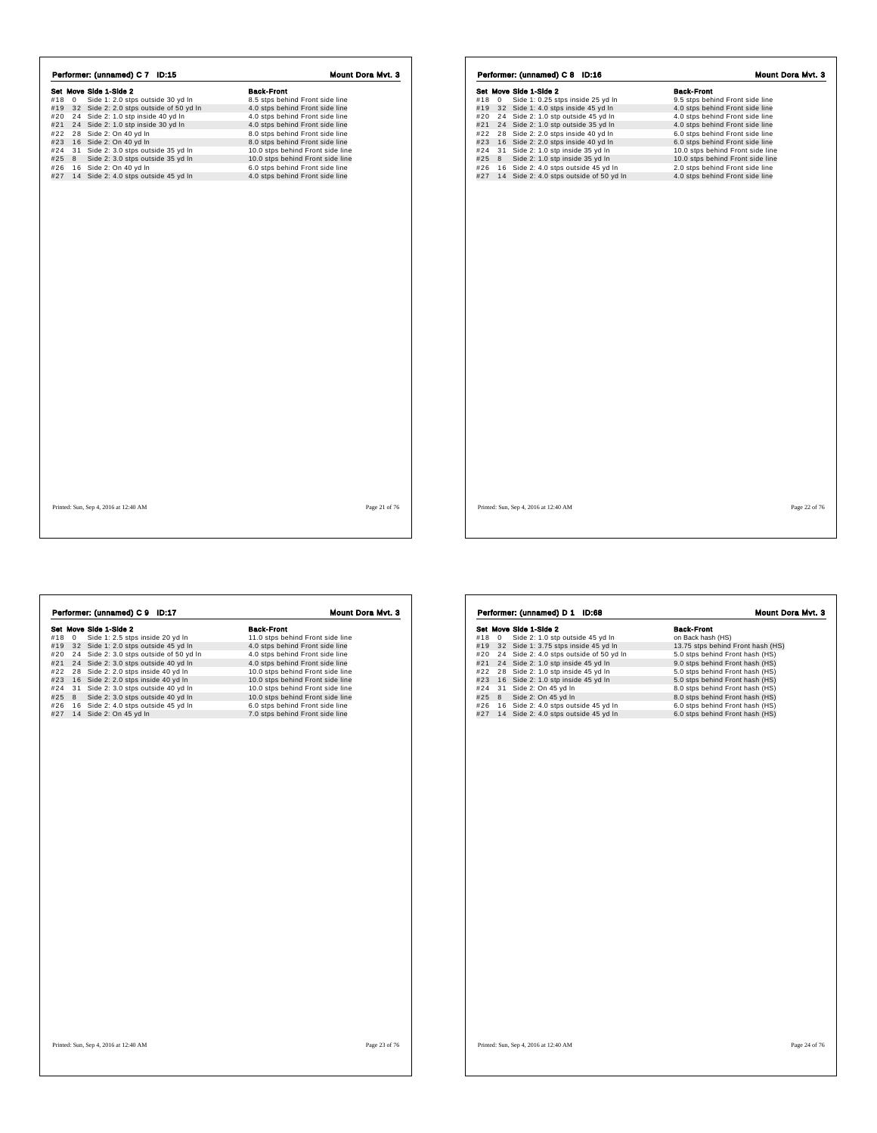|                     | Performer: (unnamed) C 7 ID:15                                 | Mount Dora Mvt. 3                                                  |
|---------------------|----------------------------------------------------------------|--------------------------------------------------------------------|
|                     | Set Move Side 1-Side 2                                         | <b>Back-Front</b>                                                  |
| #18<br>$\mathbf{0}$ | Side 1: 2.0 stps outside 30 yd In                              | 8.5 stps behind Front side line                                    |
|                     | #19 32 Side 2: 2.0 stps outside of 50 yd In                    | 4.0 stps behind Front side line                                    |
| #20                 | 24 Side 2: 1.0 stp inside 40 yd In                             | 4.0 stps behind Front side line                                    |
|                     | #21 24 Side 2: 1.0 stp inside 30 yd In                         | 4.0 stps behind Front side line                                    |
| #22                 | 28 Side 2: On 40 yd In                                         | 8.0 stps behind Front side line                                    |
| #23                 | 16 Side 2: On 40 yd In                                         | 8.0 stps behind Front side line                                    |
| #24                 | 31 Side 2: 3.0 stps outside 35 yd In                           | 10.0 stps behind Front side line                                   |
| #25                 | Side 2: 3.0 stps outside 35 yd In<br>8                         | 10.0 stps behind Front side line                                   |
| #26<br>#27          | 16 Side 2: On 40 yd In<br>14 Side 2: 4.0 stps outside 45 yd In | 6.0 stps behind Front side line<br>4.0 stps behind Front side line |
|                     |                                                                |                                                                    |
|                     |                                                                |                                                                    |

|                    | Set Move Side 1-Side 2                  | <b>Back-Front</b>                |  |
|--------------------|-----------------------------------------|----------------------------------|--|
| #18<br>$\mathbf 0$ | Side 1: 0.25 stps inside 25 yd In       | 9.5 stps behind Front side line  |  |
| #19                | 32 Side 1: 4.0 stps inside 45 yd In     | 4.0 stps behind Front side line  |  |
| #20                | 24 Side 2: 1.0 stp outside 45 yd In     | 4.0 stps behind Front side line  |  |
| #21                | 24 Side 2: 1.0 stp outside 35 yd In     | 4.0 stps behind Front side line  |  |
| #22                | 28 Side 2: 2.0 stps inside 40 yd In     | 6.0 stps behind Front side line  |  |
| #23                | 16 Side 2: 2.0 stps inside 40 yd In     | 6.0 stps behind Front side line  |  |
| #24                | 31 Side 2: 1.0 stp inside 35 yd In      | 10.0 stps behind Front side line |  |
| #25<br>8           | Side 2: 1.0 stp inside 35 yd In         | 10.0 stps behind Front side line |  |
| #26                | 16 Side 2: 4.0 stps outside 45 yd In    | 2.0 stps behind Front side line  |  |
| #27                | 14 Side 2: 4.0 stps outside of 50 yd In | 4.0 stps behind Front side line  |  |
|                    |                                         |                                  |  |
|                    |                                         |                                  |  |

 $\overline{1}$ 

 $\sqrt{ }$ 

|     |   | Performer: (unnamed) C 9 ID:17          | <b>Mount Dora Myt. 3</b>         |
|-----|---|-----------------------------------------|----------------------------------|
|     |   | Set Move Side 1-Side 2                  | <b>Back-Front</b>                |
| #18 | 0 | Side 1: 2.5 stps inside 20 yd In        | 11.0 stps behind Front side line |
| #19 |   | 32 Side 1: 2.0 stps outside 45 yd In    | 4.0 stps behind Front side line  |
| #20 |   | 24 Side 2: 3.0 stps outside of 50 yd In | 4.0 stps behind Front side line  |
| #21 |   | 24 Side 2: 3.0 stps outside 40 yd In    | 4.0 stps behind Front side line  |
| #22 |   | 28 Side 2: 2.0 stps inside 40 yd In     | 10.0 stps behind Front side line |
| #23 |   | 16 Side 2: 2.0 stps inside 40 yd In     | 10.0 stps behind Front side line |
| #24 |   | 31 Side 2: 3.0 stps outside 40 yd In    | 10.0 stps behind Front side line |
| #25 | 8 | Side 2: 3.0 stps outside 40 yd In       | 10.0 stps behind Front side line |
| #26 |   | 16 Side 2: 4.0 stps outside 45 yd In    | 6.0 stps behind Front side line  |
| #27 |   | 14 Side 2: On 45 yd In                  | 7.0 stps behind Front side line  |
|     |   |                                         |                                  |
|     |   |                                         |                                  |
|     |   |                                         |                                  |
|     |   |                                         |                                  |
|     |   |                                         |                                  |
|     |   |                                         |                                  |
|     |   |                                         |                                  |

 $\sqrt{ }$ 

|     |             | Performer: (unnamed) D 1 ID:68       | Mount Dora Myt. 3                 |
|-----|-------------|--------------------------------------|-----------------------------------|
|     |             | Set Move Side 1-Side 2               | <b>Back-Front</b>                 |
| #18 | $\mathbf 0$ | Side 2: 1.0 stp outside 45 yd In     | on Back hash (HS)                 |
| #19 |             | 32 Side 1: 3.75 stps inside 45 yd In | 13.75 stps behind Front hash (HS) |
| #20 | 24          | Side 2: 4.0 stps outside of 50 yd In | 5.0 stps behind Front hash (HS)   |
| #21 |             | 24 Side 2: 1.0 stp inside 45 vd In   | 9.0 stps behind Front hash (HS)   |
| #22 |             | 28 Side 2: 1.0 stp inside 45 yd In   | 5.0 stps behind Front hash (HS)   |
| #23 |             | 16 Side 2: 1.0 stp inside 45 yd In   | 5.0 stps behind Front hash (HS)   |
| #24 |             | 31 Side 2: On 45 yd In               | 8.0 stps behind Front hash (HS)   |
| #25 | 8           | Side 2: On 45 yd In                  | 8.0 stps behind Front hash (HS)   |
| #26 |             | 16 Side 2: 4.0 stps outside 45 yd In | 6.0 stps behind Front hash (HS)   |
| #27 |             | 14 Side 2: 4.0 stps outside 45 yd In | 6.0 stps behind Front hash (HS)   |
|     |             |                                      |                                   |
|     |             |                                      |                                   |
|     |             |                                      |                                   |
|     |             |                                      |                                   |
|     |             |                                      |                                   |
|     |             |                                      |                                   |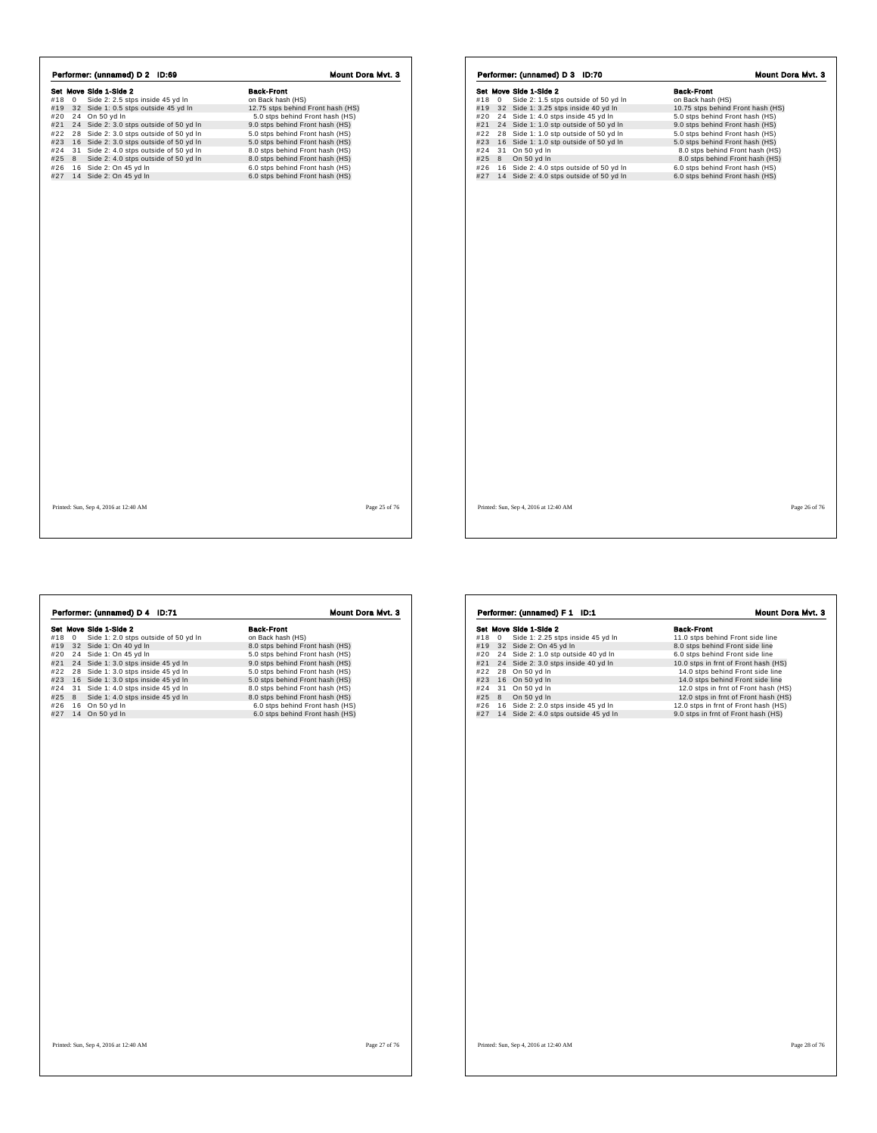|            |            | Set Move Side 1-Side 2                                                             | <b>Back-Front</b>                                                  |
|------------|------------|------------------------------------------------------------------------------------|--------------------------------------------------------------------|
| #18        | $^{\circ}$ | Side 2: 2.5 stps inside 45 yd In                                                   | on Back hash (HS)                                                  |
| #19        |            | 32 Side 1: 0.5 stps outside 45 yd In                                               | 12.75 stps behind Front hash (HS)                                  |
| #20        |            | 24 On 50 yd In                                                                     | 5.0 stps behind Front hash (HS)                                    |
|            |            | #21 24 Side 2: 3.0 stps outside of 50 yd In                                        | 9.0 stps behind Front hash (HS)                                    |
| #22        |            | 28 Side 2: 3.0 stps outside of 50 yd In                                            | 5.0 stps behind Front hash (HS)<br>5.0 stps behind Front hash (HS) |
| #23<br>#24 |            | 16 Side 2: 3.0 stps outside of 50 yd In<br>31 Side 2: 4.0 stps outside of 50 yd In | 8.0 stps behind Front hash (HS)                                    |
| #25        | 8          | Side 2: 4.0 stps outside of 50 yd In                                               | 8.0 stps behind Front hash (HS)                                    |
| #26        |            | 16 Side 2: On 45 yd In                                                             | 6.0 stps behind Front hash (HS)                                    |
|            |            | #27 14 Side 2: On 45 yd In                                                         | 6.0 stps behind Front hash (HS)                                    |
|            |            |                                                                                    |                                                                    |
|            |            | Printed: Sun, Sep 4, 2016 at 12:40 AM                                              | Page 25 of 76                                                      |

|     |   | Set Move Side 1-Side 2                  | <b>Back-Front</b>                 |
|-----|---|-----------------------------------------|-----------------------------------|
| #18 | 0 | Side 2: 1.5 stps outside of 50 yd In    | on Back hash (HS)                 |
| #19 |   | 32 Side 1: 3.25 stps inside 40 yd In    | 10.75 stps behind Front hash (HS) |
| #20 |   | 24 Side 1: 4.0 stps inside 45 yd In     | 5.0 stps behind Front hash (HS)   |
| #21 |   | 24 Side 1: 1.0 stp outside of 50 yd In  | 9.0 stps behind Front hash (HS)   |
| #22 |   | 28 Side 1: 1.0 stp outside of 50 yd In  | 5.0 stps behind Front hash (HS)   |
| #23 |   | 16 Side 1: 1.0 stp outside of 50 yd In  | 5.0 stps behind Front hash (HS)   |
| #24 |   | 31 On 50 yd In                          | 8.0 stps behind Front hash (HS)   |
| #25 | 8 | On 50 yd In                             | 8.0 stps behind Front hash (HS)   |
| #26 |   | 16 Side 2: 4.0 stps outside of 50 yd In | 6.0 stps behind Front hash (HS)   |
| #27 |   | 14 Side 2: 4.0 stps outside of 50 yd In | 6.0 stps behind Front hash (HS)   |
|     |   |                                         |                                   |
|     |   |                                         |                                   |

|     |              | Set Move Side 1-Side 2               | <b>Back-Front</b>               |
|-----|--------------|--------------------------------------|---------------------------------|
| #18 | $\mathbf{0}$ | Side 1: 2.0 stps outside of 50 yd In | on Back hash (HS)               |
| #19 |              | 32 Side 1: On 40 yd In               | 8.0 stps behind Front hash (HS) |
| #20 |              | 24 Side 1: On 45 yd In               | 5.0 stps behind Front hash (HS) |
| #21 |              | 24 Side 1: 3.0 stps inside 45 yd In  | 9.0 stps behind Front hash (HS) |
| #22 |              | 28 Side 1: 3.0 stps inside 45 yd In  | 5.0 stps behind Front hash (HS) |
| #23 |              | 16 Side 1: 3.0 stps inside 45 yd In  | 5.0 stps behind Front hash (HS) |
| #24 |              | 31 Side 1: 4.0 stps inside 45 yd In  | 8.0 stps behind Front hash (HS) |
| #25 |              | 8 Side 1: 4.0 stps inside 45 yd In   | 8.0 stps behind Front hash (HS) |
| #26 |              | 16 On 50 yd In                       | 6.0 stps behind Front hash (HS) |
| #27 |              | 14 On 50 yd In                       | 6.0 stps behind Front hash (HS) |
|     |              |                                      |                                 |

|     |              | Set Move Side 1-Side 2               | <b>Back-Front</b>                    |
|-----|--------------|--------------------------------------|--------------------------------------|
| #18 | $\mathbf{0}$ | Side 1: 2.25 stps inside 45 yd In    | 11.0 stps behind Front side line     |
| #19 |              | 32 Side 2: On 45 yd In               | 8.0 stps behind Front side line      |
| #20 |              | 24 Side 2: 1.0 stp outside 40 yd In  | 6.0 stps behind Front side line      |
| #21 |              | 24 Side 2: 3.0 stps inside 40 yd In  | 10.0 stps in frnt of Front hash (HS) |
| #22 |              | 28 On 50 yd In                       | 14.0 stps behind Front side line     |
| #23 |              | 16 On 50 yd In                       | 14.0 stps behind Front side line     |
| #24 |              | 31 On 50 yd In                       | 12.0 stps in frnt of Front hash (HS) |
| #25 |              | 8 On 50 yd In                        | 12.0 stps in frnt of Front hash (HS) |
| #26 |              | 16 Side 2: 2.0 stps inside 45 yd In  | 12.0 stps in frnt of Front hash (HS) |
| #27 |              | 14 Side 2: 4.0 stps outside 45 yd In | 9.0 stps in frnt of Front hash (HS)  |
|     |              |                                      |                                      |
|     |              |                                      |                                      |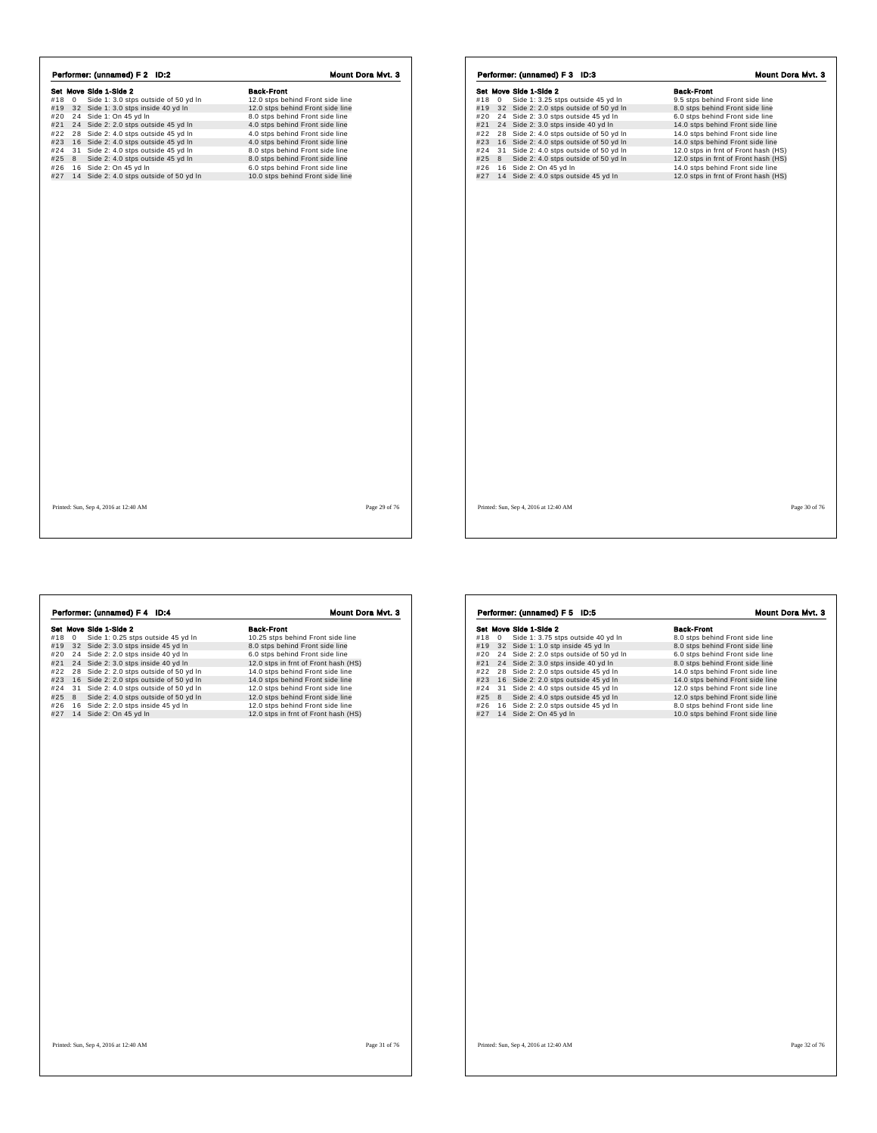| Set Move Side 1-Side 2<br>#18<br>Side 1: 3.0 stps outside of 50 yd In<br>12.0 stps behind Front side line<br>$\mathbf 0$<br>#19 32 Side 1: 3.0 stps inside 40 yd In<br>12.0 stps behind Front side line<br>24 Side 1: On 45 yd In<br>#20<br>8.0 stps behind Front side line<br>#21 24 Side 2: 2.0 stps outside 45 yd In<br>4.0 stps behind Front side line<br>#22<br>28 Side 2: 4.0 stps outside 45 yd In<br>4.0 stps behind Front side line<br>#23<br>16 Side 2: 4.0 stps outside 45 yd In<br>4.0 stps behind Front side line<br>31 Side 2: 4.0 stps outside 45 yd In<br>#24<br>8.0 stps behind Front side line<br>#25<br>8<br>Side 2: 4.0 stps outside 45 yd In<br>8.0 stps behind Front side line<br>#26<br>16 Side 2: On 45 yd In<br>6.0 stps behind Front side line<br>#27 14 Side 2: 4.0 stps outside of 50 yd In<br>10.0 stps behind Front side line |  |  |                   |  |
|-------------------------------------------------------------------------------------------------------------------------------------------------------------------------------------------------------------------------------------------------------------------------------------------------------------------------------------------------------------------------------------------------------------------------------------------------------------------------------------------------------------------------------------------------------------------------------------------------------------------------------------------------------------------------------------------------------------------------------------------------------------------------------------------------------------------------------------------------------------|--|--|-------------------|--|
|                                                                                                                                                                                                                                                                                                                                                                                                                                                                                                                                                                                                                                                                                                                                                                                                                                                             |  |  | <b>Back-Front</b> |  |
|                                                                                                                                                                                                                                                                                                                                                                                                                                                                                                                                                                                                                                                                                                                                                                                                                                                             |  |  |                   |  |
|                                                                                                                                                                                                                                                                                                                                                                                                                                                                                                                                                                                                                                                                                                                                                                                                                                                             |  |  |                   |  |
|                                                                                                                                                                                                                                                                                                                                                                                                                                                                                                                                                                                                                                                                                                                                                                                                                                                             |  |  |                   |  |
|                                                                                                                                                                                                                                                                                                                                                                                                                                                                                                                                                                                                                                                                                                                                                                                                                                                             |  |  |                   |  |
|                                                                                                                                                                                                                                                                                                                                                                                                                                                                                                                                                                                                                                                                                                                                                                                                                                                             |  |  |                   |  |
|                                                                                                                                                                                                                                                                                                                                                                                                                                                                                                                                                                                                                                                                                                                                                                                                                                                             |  |  |                   |  |
|                                                                                                                                                                                                                                                                                                                                                                                                                                                                                                                                                                                                                                                                                                                                                                                                                                                             |  |  |                   |  |
|                                                                                                                                                                                                                                                                                                                                                                                                                                                                                                                                                                                                                                                                                                                                                                                                                                                             |  |  |                   |  |
|                                                                                                                                                                                                                                                                                                                                                                                                                                                                                                                                                                                                                                                                                                                                                                                                                                                             |  |  |                   |  |
|                                                                                                                                                                                                                                                                                                                                                                                                                                                                                                                                                                                                                                                                                                                                                                                                                                                             |  |  |                   |  |
|                                                                                                                                                                                                                                                                                                                                                                                                                                                                                                                                                                                                                                                                                                                                                                                                                                                             |  |  |                   |  |
|                                                                                                                                                                                                                                                                                                                                                                                                                                                                                                                                                                                                                                                                                                                                                                                                                                                             |  |  |                   |  |
|                                                                                                                                                                                                                                                                                                                                                                                                                                                                                                                                                                                                                                                                                                                                                                                                                                                             |  |  |                   |  |
|                                                                                                                                                                                                                                                                                                                                                                                                                                                                                                                                                                                                                                                                                                                                                                                                                                                             |  |  |                   |  |
|                                                                                                                                                                                                                                                                                                                                                                                                                                                                                                                                                                                                                                                                                                                                                                                                                                                             |  |  |                   |  |

|     |   | Set Move Side 1-Side 2                  | <b>Back-Front</b>                    |
|-----|---|-----------------------------------------|--------------------------------------|
| #18 | 0 | Side 1: 3.25 stps outside 45 yd In      | 9.5 stps behind Front side line      |
| #19 |   | 32 Side 2: 2.0 stps outside of 50 yd In | 8.0 stps behind Front side line      |
| #20 |   | 24 Side 2: 3.0 stps outside 45 yd In    | 6.0 stps behind Front side line      |
| #21 |   | 24 Side 2: 3.0 stps inside 40 yd In     | 14.0 stps behind Front side line     |
| #22 |   | 28 Side 2: 4.0 stps outside of 50 yd In | 14.0 stps behind Front side line     |
| #23 |   | 16 Side 2: 4.0 stps outside of 50 yd In | 14.0 stps behind Front side line     |
| #24 |   | 31 Side 2: 4.0 stps outside of 50 yd In | 12.0 stps in frnt of Front hash (HS) |
| #25 | 8 | Side 2: 4.0 stps outside of 50 yd In    | 12.0 stps in frnt of Front hash (HS) |
| #26 |   | 16 Side 2: On 45 yd In                  | 14.0 stps behind Front side line     |
| #27 |   | 14 Side 2: 4.0 stps outside 45 yd In    | 12.0 stps in frnt of Front hash (HS) |
|     |   |                                         |                                      |
|     |   |                                         |                                      |
|     |   |                                         |                                      |
|     |   |                                         |                                      |
|     |   |                                         |                                      |
|     |   |                                         |                                      |
|     |   |                                         |                                      |
|     |   |                                         |                                      |
|     |   |                                         |                                      |
|     |   |                                         |                                      |
|     |   |                                         |                                      |
|     |   |                                         |                                      |
|     |   |                                         |                                      |
|     |   |                                         |                                      |
|     |   |                                         |                                      |
|     |   |                                         |                                      |
|     |   |                                         |                                      |
|     |   |                                         |                                      |
|     |   |                                         |                                      |
|     |   |                                         |                                      |
|     |   |                                         |                                      |
|     |   |                                         |                                      |
|     |   |                                         |                                      |
|     |   |                                         |                                      |
|     |   |                                         |                                      |
|     |   |                                         |                                      |
|     |   |                                         |                                      |
|     |   |                                         |                                      |
|     |   |                                         |                                      |
|     |   |                                         |                                      |
|     |   |                                         |                                      |
|     |   |                                         |                                      |
|     |   |                                         |                                      |
|     |   |                                         |                                      |

|     |             | Performer: (unnamed) F 4 ID:4           | <b>Mount Dora Myt. 3</b>             |
|-----|-------------|-----------------------------------------|--------------------------------------|
|     |             | Set Move Side 1-Side 2                  | <b>Back-Front</b>                    |
| #18 | $\mathbf 0$ | Side 1: 0.25 stps outside 45 yd In      | 10.25 stps behind Front side line    |
| #19 | 32          | Side 2: 3.0 stps inside 45 yd In        | 8.0 stps behind Front side line      |
| #20 | 24          | Side 2: 2.0 stps inside 40 yd In        | 6.0 stps behind Front side line      |
| #21 | 24          | Side 2: 3.0 stps inside 40 yd In        | 12.0 stps in frnt of Front hash (HS) |
| #22 | 28          | Side 2: 2.0 stps outside of 50 yd In    | 14.0 stps behind Front side line     |
| #23 |             | 16 Side 2: 2.0 stps outside of 50 yd In | 14.0 stps behind Front side line     |
| #24 | 31          | Side 2: 4.0 stps outside of 50 yd In    | 12.0 stps behind Front side line     |
| #25 | 8           | Side 2: 4.0 stps outside of 50 yd In    | 12.0 stps behind Front side line     |
| #26 |             | 16 Side 2: 2.0 stps inside 45 yd In     | 12.0 stps behind Front side line     |
| #27 |             | 14 Side 2: On 45 yd In                  | 12.0 stps in frnt of Front hash (HS) |
|     |             |                                         |                                      |
|     |             |                                         |                                      |
|     |             |                                         |                                      |
|     |             |                                         |                                      |
|     |             |                                         |                                      |
|     |             |                                         |                                      |
|     |             |                                         |                                      |

|                    | Performer: (unnamed) F 5 ID:5        | Mount Dora Mvt. 3                |
|--------------------|--------------------------------------|----------------------------------|
|                    | Set Move Side 1-Side 2               | <b>Back-Front</b>                |
| #18<br>$\mathbf 0$ | Side 1: 3.75 stps outside 40 yd In   | 8.0 stps behind Front side line  |
| #19                | 32 Side 1: 1.0 stp inside 45 yd In   | 8.0 stps behind Front side line  |
| #20<br>24          | Side 2: 2.0 stps outside of 50 yd In | 6.0 stps behind Front side line  |
| #21<br>24          | Side 2: 3.0 stps inside 40 yd In     | 8.0 stps behind Front side line  |
| #22<br>28          | Side 2: 2.0 stps outside 45 yd In    | 14.0 stps behind Front side line |
| #23                | 16 Side 2: 2.0 stps outside 45 yd In | 14.0 stps behind Front side line |
| #24                | 31 Side 2: 4.0 stps outside 45 yd In | 12.0 stps behind Front side line |
| #25<br>8           | Side 2: 4.0 stps outside 45 yd In    | 12.0 stps behind Front side line |
| #26<br>16          | Side 2: 2.0 stps outside 45 yd In    | 8.0 stps behind Front side line  |
| #27                | 14 Side 2: On 45 yd In               | 10.0 stps behind Front side line |
|                    |                                      |                                  |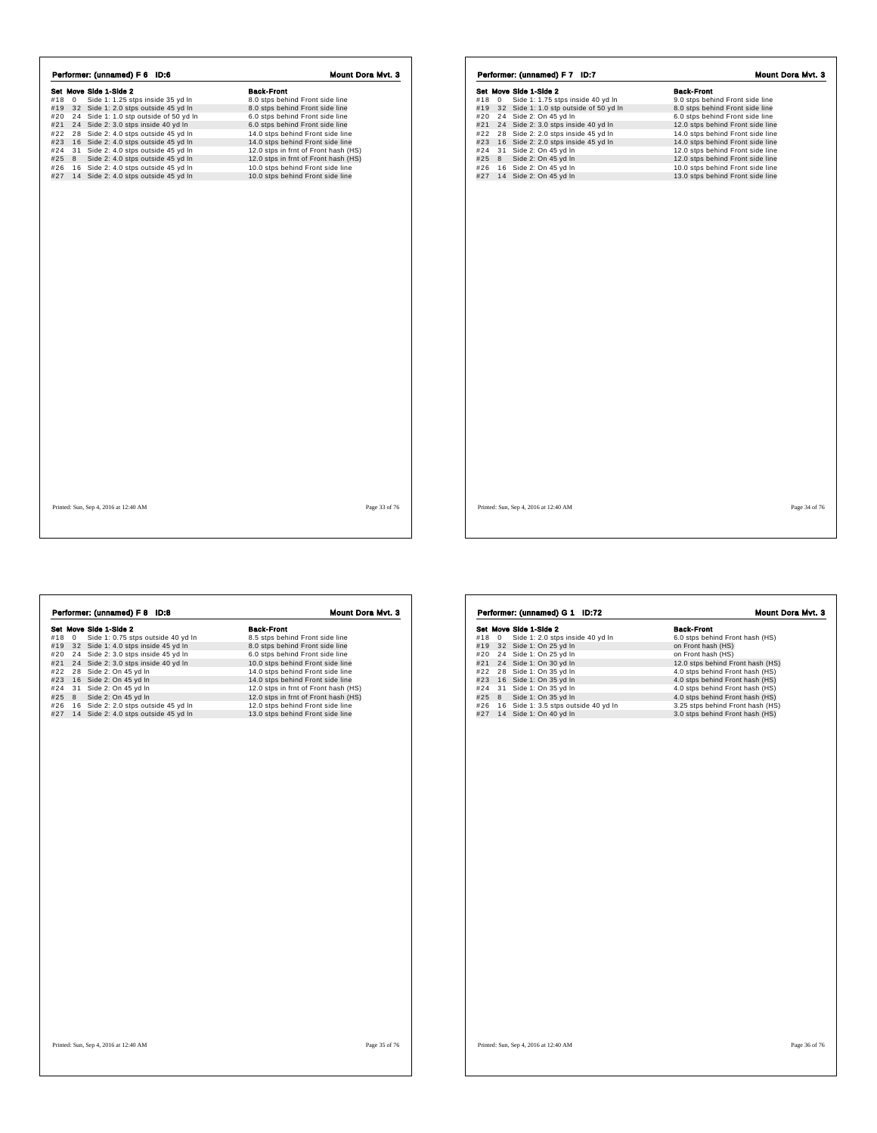|            |             | Set Move Side 1-Side 2                                                      | <b>Back-Front</b>                                                  |
|------------|-------------|-----------------------------------------------------------------------------|--------------------------------------------------------------------|
| #18        | $\mathbf 0$ | Side 1: 1.25 stps inside 35 yd In                                           | 8.0 stps behind Front side line                                    |
|            |             | #19 32 Side 1: 2.0 stps outside 45 yd In                                    | 8.0 stps behind Front side line                                    |
| #20<br>#21 |             | 24 Side 1: 1.0 stp outside of 50 yd In                                      | 6.0 stps behind Front side line<br>6.0 stps behind Front side line |
| #22        |             | 24 Side 2: 3.0 stps inside 40 yd In<br>28 Side 2: 4.0 stps outside 45 yd In | 14.0 stps behind Front side line                                   |
| #23        |             | 16 Side 2: 4.0 stps outside 45 yd In                                        | 14.0 stps behind Front side line                                   |
| #24        |             | 31 Side 2: 4.0 stps outside 45 yd In                                        | 12.0 stps in frnt of Front hash (HS)                               |
| #25        | 8           | Side 2: 4.0 stps outside 45 yd In                                           | 12.0 stps in frnt of Front hash (HS)                               |
| #26        |             | 16 Side 2: 4.0 stps outside 45 yd In                                        | 10.0 stps behind Front side line                                   |
|            |             | #27 14 Side 2: 4.0 stps outside 45 yd In                                    | 10.0 stps behind Front side line                                   |
|            |             |                                                                             |                                                                    |
|            |             | Printed: Sun, Sep 4, 2016 at 12:40 AM                                       | Page 33 of 76                                                      |

| #18<br>#19 |             | Set Move Side 1-Side 2                 | <b>Back-Front</b>                |
|------------|-------------|----------------------------------------|----------------------------------|
|            | $\mathbf 0$ | Side 1: 1.75 stps inside 40 yd In      | 9.0 stps behind Front side line  |
|            |             | 32 Side 1: 1.0 stp outside of 50 yd In | 8.0 stps behind Front side line  |
| #20        |             | 24 Side 2: On 45 yd In                 | 6.0 stps behind Front side line  |
| #21        |             | 24 Side 2: 3.0 stps inside 40 yd In    | 12.0 stps behind Front side line |
| #22        |             | 28 Side 2: 2.0 stps inside 45 yd In    | 14.0 stps behind Front side line |
| #23        |             | 16 Side 2: 2.0 stps inside 45 yd In    | 14.0 stps behind Front side line |
| #24        |             | 31 Side 2: On 45 yd In                 | 12.0 stps behind Front side line |
| #25        | 8           | Side 2: On 45 yd In                    | 12.0 stps behind Front side line |
| #26        |             | 16 Side 2: On 45 yd In                 | 10.0 stps behind Front side line |
| #27        |             | 14 Side 2: On 45 yd In                 | 13.0 stps behind Front side line |
|            |             |                                        |                                  |
|            |             |                                        |                                  |

|     |            | Performer: (unnamed) F 8 ID:8        | Mount Dora Myt. 3                    |
|-----|------------|--------------------------------------|--------------------------------------|
|     |            | Set Move Side 1-Side 2               | <b>Back-Front</b>                    |
| #18 | $^{\circ}$ | Side 1: 0.75 stps outside 40 yd In   | 8.5 stps behind Front side line      |
| #19 |            | 32 Side 1: 4.0 stps inside 45 yd In  | 8.0 stps behind Front side line      |
| #20 | 24         | Side 2: 3.0 stps inside 45 yd In     | 6.0 stps behind Front side line      |
| #21 |            | 24 Side 2: 3.0 stps inside 40 yd In  | 10.0 stps behind Front side line     |
| #22 | 28         | Side 2: On 45 yd In                  | 14.0 stps behind Front side line     |
| #23 |            | 16 Side 2: On 45 yd In               | 14.0 stps behind Front side line     |
| #24 | 31         | Side 2: On 45 yd In                  | 12.0 stps in frnt of Front hash (HS) |
| #25 | 8          | Side 2: On 45 yd In                  | 12.0 stps in frnt of Front hash (HS) |
| #26 |            | 16 Side 2: 2.0 stps outside 45 yd In | 12.0 stps behind Front side line     |
| #27 |            | 14 Side 2: 4.0 stps outside 45 yd In | 13.0 stps behind Front side line     |
|     |            |                                      |                                      |
|     |            |                                      |                                      |
|     |            |                                      |                                      |
|     |            |                                      |                                      |
|     |            |                                      |                                      |

|     |             | Set Move Side 1-Side 2               | <b>Back-Front</b>                |
|-----|-------------|--------------------------------------|----------------------------------|
| #18 | $\mathbf 0$ | Side 1: 2.0 stps inside 40 yd In     | 6.0 stps behind Front hash (HS)  |
| #19 |             | 32 Side 1: On 25 yd In               | on Front hash (HS)               |
| #20 |             | 24 Side 1: On 25 yd In               | on Front hash (HS)               |
| #21 |             | 24 Side 1: On 30 yd In               | 12.0 stps behind Front hash (HS) |
| #22 |             | 28 Side 1: On 35 yd In               | 4.0 stps behind Front hash (HS)  |
| #23 |             | 16 Side 1: On 35 yd In               | 4.0 stps behind Front hash (HS)  |
| #24 |             | 31 Side 1: On 35 yd In               | 4.0 stps behind Front hash (HS)  |
| #25 | 8           | Side 1: On 35 yd In                  | 4.0 stps behind Front hash (HS)  |
| #26 |             | 16 Side 1: 3.5 stps outside 40 yd In | 3.25 stps behind Front hash (HS) |
| #27 |             | 14 Side 1: On 40 yd In               | 3.0 stps behind Front hash (HS)  |
|     |             |                                      |                                  |
|     |             |                                      |                                  |
|     |             |                                      |                                  |
|     |             |                                      |                                  |
|     |             |                                      |                                  |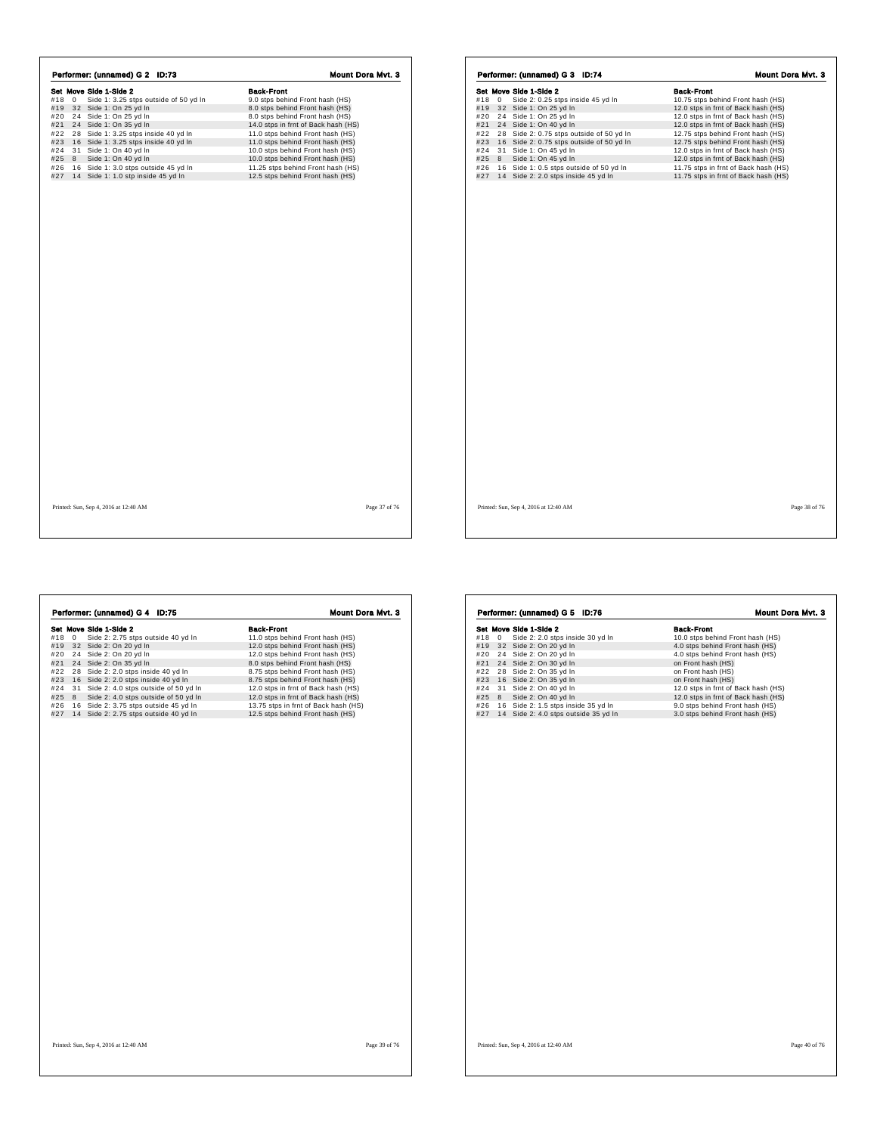|     |       | Performer: (unnamed) G 2 ID:73                                         | Mount Dora Mvt. 3                                                       |
|-----|-------|------------------------------------------------------------------------|-------------------------------------------------------------------------|
|     |       | Set Move Side 1-Side 2                                                 | <b>Back-Front</b>                                                       |
|     | #18 0 | Side 1: 3.25 stps outside of 50 yd In                                  | 9.0 stps behind Front hash (HS)                                         |
|     |       | #19 32 Side 1: On 25 yd In                                             | 8.0 stps behind Front hash (HS)                                         |
|     |       | #20 24 Side 1: On 25 yd In                                             | 8.0 stps behind Front hash (HS)                                         |
|     |       | #21 24 Side 1: On 35 yd In<br>#22 28 Side 1: 3.25 stps inside 40 yd In | 14.0 stps in frnt of Back hash (HS)<br>11.0 stps behind Front hash (HS) |
| #23 |       | 16 Side 1: 3.25 stps inside 40 yd In                                   | 11.0 stps behind Front hash (HS)                                        |
| #24 |       | 31 Side 1: On 40 yd In                                                 | 10.0 stps behind Front hash (HS)                                        |
|     | #25 8 | Side 1: On 40 yd In                                                    | 10.0 stps behind Front hash (HS)                                        |
| #26 |       | 16 Side 1: 3.0 stps outside 45 yd In                                   | 11.25 stps behind Front hash (HS)                                       |
|     |       | #27 14 Side 1: 1.0 stp inside 45 yd In                                 | 12.5 stps behind Front hash (HS)                                        |
|     |       |                                                                        |                                                                         |
|     |       | Printed: Sun, Sep 4, 2016 at 12:40 AM                                  | Page 37 of 76                                                           |

**Set Move Side 1-Side 2**<br> **Side 2:** 2.75 stps outside 40 yd In 11.0 stps behind Front hash (HS)<br>
#19 32 Side 2: On 20 yd In 12.0 stps behind Front hash (HS)<br>
#21 24 Side 2: On 20 yd In 12.0 stps behind Front hash (HS)<br>
#21

Performer: (unnamed) G 4 ID:75

|            |              | Set Move Side 1-Side 2                                                         | <b>Back-Front</b>                                                            |
|------------|--------------|--------------------------------------------------------------------------------|------------------------------------------------------------------------------|
| #18        | $\mathbf{0}$ | Side 2: 0.25 stps inside 45 yd In                                              | 10.75 stps behind Front hash (HS)                                            |
| #19<br>#20 | 24           | 32 Side 1: On 25 yd In<br>Side 1: On 25 yd In                                  | 12.0 stps in frnt of Back hash (HS)<br>12.0 stps in frnt of Back hash (HS)   |
|            |              |                                                                                |                                                                              |
| #21        | 24           | Side 1: On 40 yd In                                                            | 12.0 stps in frnt of Back hash (HS)                                          |
| #22        | 28           | Side 2: 0.75 stps outside of 50 yd In                                          | 12.75 stps behind Front hash (HS)                                            |
| #23        |              | 16 Side 2: 0.75 stps outside of 50 yd In                                       | 12.75 stps behind Front hash (HS)                                            |
| #24        |              | 31 Side 1: On 45 yd In                                                         | 12.0 stps in frnt of Back hash (HS)                                          |
| #25        | 8            | Side 1: On 45 yd In                                                            | 12.0 stps in frnt of Back hash (HS)                                          |
| #26<br>#27 |              | 16 Side 1: 0.5 stps outside of 50 yd In<br>14 Side 2: 2.0 stps inside 45 yd In | 11.75 stps in frnt of Back hash (HS)<br>11.75 stps in frnt of Back hash (HS) |
|            |              |                                                                                |                                                                              |
|            |              |                                                                                |                                                                              |
|            |              |                                                                                |                                                                              |

**Set Move Side 1-Side 2**<br> **Side 2:** 20 stps inside 30 yd in<br>
#19 32 Side 2: On 20 yd in<br>
#21 24 Side 2: On 20 yd in<br>
#22 28 Side 2: On 30 yd in<br>
#22 28 Side 2: On 35 yd in<br>
#22 28 Side 2: On 35 yd in<br>
#23 16 e2: On 35 yd i Performer: (unnamed) G 5 ID:76 Mount Dora Mvt. 3

Printed: Sun, Sep 4, 2016 at 12:40 AM Page 38 of 76

Printed: Sun, Sep 4, 2016 at 12:40 AM Page 39 of 76

Printed: Sun, Sep 4, 2016 at 12:40 AM Page 40 of 76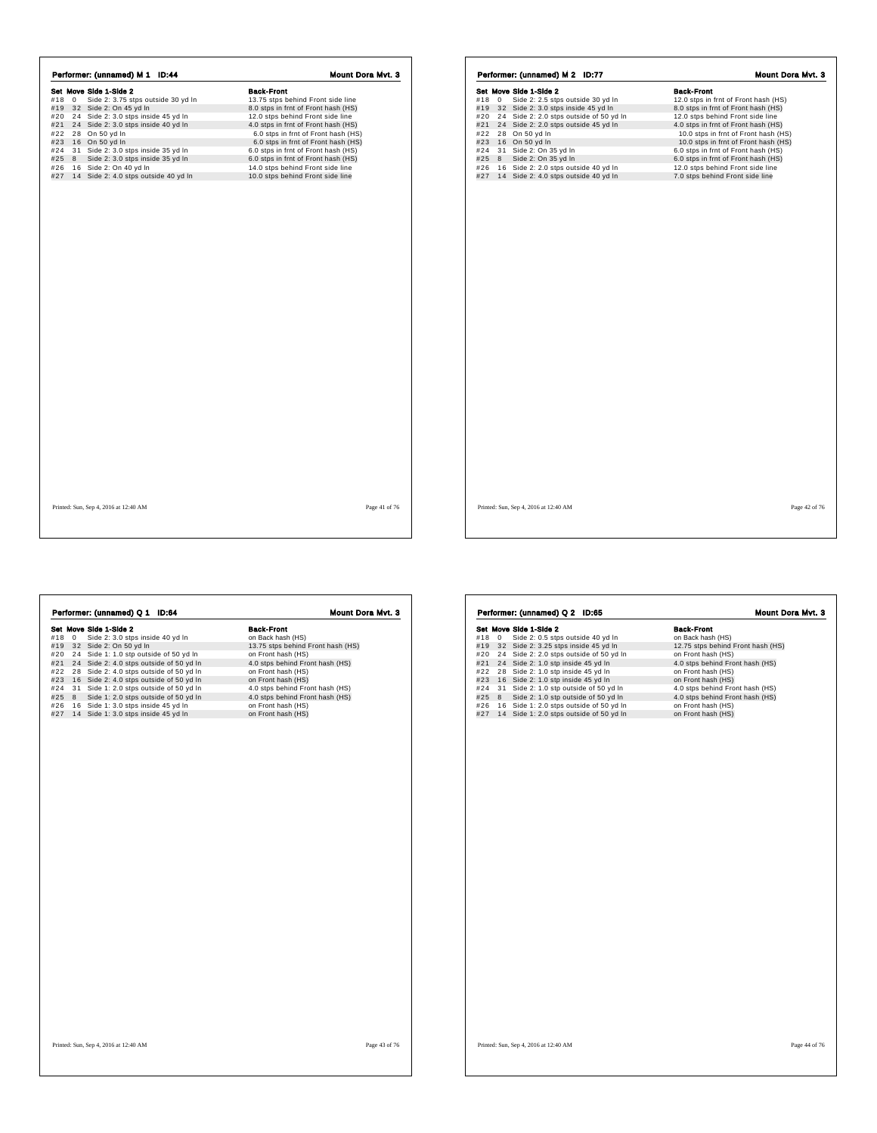|     |   | Set Move Side 1-Side 2                                             | <b>Back-Front</b>                                                    |
|-----|---|--------------------------------------------------------------------|----------------------------------------------------------------------|
| #18 | 0 | Side 2: 3.75 stps outside 30 yd In                                 | 13.75 stps behind Front side line                                    |
| #19 |   | 32 Side 2: On 45 yd In                                             | 8.0 stps in frnt of Front hash (HS)                                  |
| #20 |   | 24 Side 2: 3.0 stps inside 45 yd In                                | 12.0 stps behind Front side line                                     |
| #21 |   | 24 Side 2: 3.0 stps inside 40 yd In                                | 4.0 stps in frnt of Front hash (HS)                                  |
| #22 |   | 28 On 50 yd In                                                     | 6.0 stps in frnt of Front hash (HS)                                  |
| #23 |   | 16 On 50 yd In                                                     | 6.0 stps in frnt of Front hash (HS)                                  |
| #24 |   | 31 Side 2: 3.0 stps inside 35 yd In                                | 6.0 stps in frnt of Front hash (HS)                                  |
| #25 | 8 | Side 2: 3.0 stps inside 35 yd In                                   | 6.0 stps in frnt of Front hash (HS)                                  |
| #26 |   | 16 Side 2: On 40 yd In<br>#27 14 Side 2: 4.0 stps outside 40 yd In | 14.0 stps behind Front side line<br>10.0 stps behind Front side line |
|     |   |                                                                    |                                                                      |
|     |   |                                                                    |                                                                      |
|     |   |                                                                    |                                                                      |
|     |   |                                                                    |                                                                      |
|     |   |                                                                    |                                                                      |
|     |   |                                                                    |                                                                      |
|     |   |                                                                    |                                                                      |
|     |   |                                                                    |                                                                      |
|     |   |                                                                    |                                                                      |
|     |   |                                                                    |                                                                      |
|     |   |                                                                    |                                                                      |
|     |   |                                                                    |                                                                      |
|     |   |                                                                    |                                                                      |
|     |   |                                                                    |                                                                      |
|     |   |                                                                    |                                                                      |
|     |   |                                                                    |                                                                      |
|     |   |                                                                    |                                                                      |
|     |   |                                                                    |                                                                      |
|     |   |                                                                    |                                                                      |
|     |   |                                                                    |                                                                      |
|     |   |                                                                    |                                                                      |
|     |   |                                                                    |                                                                      |
|     |   |                                                                    |                                                                      |
|     |   |                                                                    |                                                                      |
|     |   |                                                                    |                                                                      |
|     |   |                                                                    |                                                                      |
|     |   |                                                                    |                                                                      |
|     |   |                                                                    |                                                                      |
|     |   |                                                                    |                                                                      |
|     |   |                                                                    |                                                                      |
|     |   | Printed: Sun, Sep 4, 2016 at 12:40 AM                              | Page 41 of 76                                                        |

|                 | Performer: (unnamed) M 2 ID:77          | Mount Dora Myt. 3                    |
|-----------------|-----------------------------------------|--------------------------------------|
|                 | Set Move Side 1-Side 2                  | <b>Back-Front</b>                    |
| #18<br>$\Omega$ | Side 2: 2.5 stps outside 30 yd In       | 12.0 stps in frnt of Front hash (HS) |
| #19             | 32 Side 2: 3.0 stps inside 45 yd In     | 8.0 stps in frnt of Front hash (HS)  |
| #20             | 24 Side 2: 2.0 stps outside of 50 yd In | 12.0 stps behind Front side line     |
| #21             | 24 Side 2: 2.0 stps outside 45 yd In    | 4.0 stps in frnt of Front hash (HS)  |
| #22             | 28 On 50 yd In                          | 10.0 stps in frnt of Front hash (HS) |
| #23             | 16 On 50 yd In                          | 10.0 stps in frnt of Front hash (HS) |
| #24             | 31 Side 2: On 35 yd In                  | 6.0 stps in frnt of Front hash (HS)  |
| #25<br>8        | Side 2: On 35 yd In                     | 6.0 stps in frnt of Front hash (HS)  |
| #26             | 16 Side 2: 2.0 stps outside 40 yd In    | 12.0 stps behind Front side line     |
| #27             | 14 Side 2: 4.0 stps outside 40 yd In    | 7.0 stps behind Front side line      |
|                 |                                         |                                      |
|                 |                                         |                                      |
|                 |                                         |                                      |

 $\sqrt{2}$ 

|          | Set Move Side 1-Side 2                  | <b>Back-Front</b>                 |
|----------|-----------------------------------------|-----------------------------------|
| #18<br>0 | Side 2: 3.0 stps inside 40 yd In        | on Back hash (HS)                 |
| #19      | 32 Side 2: On 50 yd In                  | 13.75 stps behind Front hash (HS) |
| #20      | 24 Side 1: 1.0 stp outside of 50 yd In  | on Front hash (HS)                |
| #21      | 24 Side 2: 4.0 stps outside of 50 yd In | 4.0 stps behind Front hash (HS)   |
| #22      | 28 Side 2: 4.0 stps outside of 50 yd In | on Front hash (HS)                |
| #23      | 16 Side 2: 4.0 stps outside of 50 yd In | on Front hash (HS)                |
| #24      | 31 Side 1: 2.0 stps outside of 50 yd In | 4.0 stps behind Front hash (HS)   |
| #25<br>8 | Side 1: 2.0 stps outside of 50 yd In    | 4.0 stps behind Front hash (HS)   |
| #26      | 16 Side 1: 3.0 stps inside 45 yd In     | on Front hash (HS)                |
| #27      | 14 Side 1: 3.0 stps inside 45 yd In     | on Front hash (HS)                |
|          |                                         |                                   |
|          |                                         |                                   |

|     |   | Set Move Side 1-Side 2                  | <b>Back-Front</b>                 |
|-----|---|-----------------------------------------|-----------------------------------|
| #18 | 0 | Side 2: 0.5 stps outside 40 yd In       | on Back hash (HS)                 |
| #19 |   | 32 Side 2: 3.25 stps inside 45 yd In    | 12.75 stps behind Front hash (HS) |
| #20 |   | 24 Side 2: 2.0 stps outside of 50 yd In | on Front hash (HS)                |
| #21 |   | 24 Side 2: 1.0 stp inside 45 yd In      | 4.0 stps behind Front hash (HS)   |
| #22 |   | 28 Side 2: 1.0 stp inside 45 yd In      | on Front hash (HS)                |
| #23 |   | 16 Side 2: 1.0 stp inside 45 yd In      | on Front hash (HS)                |
| #24 |   | 31 Side 2: 1.0 stp outside of 50 yd In  | 4.0 stps behind Front hash (HS)   |
| #25 | 8 | Side 2: 1.0 stp outside of 50 yd In     | 4.0 stps behind Front hash (HS)   |
| #26 |   | 16 Side 1: 2.0 stps outside of 50 yd In | on Front hash (HS)                |
| #27 |   | 14 Side 1: 2.0 stps outside of 50 yd In | on Front hash (HS)                |
|     |   |                                         |                                   |
|     |   |                                         |                                   |
|     |   |                                         |                                   |
|     |   |                                         |                                   |
|     |   |                                         |                                   |
|     |   |                                         |                                   |
|     |   |                                         |                                   |

 $\sqrt{2}$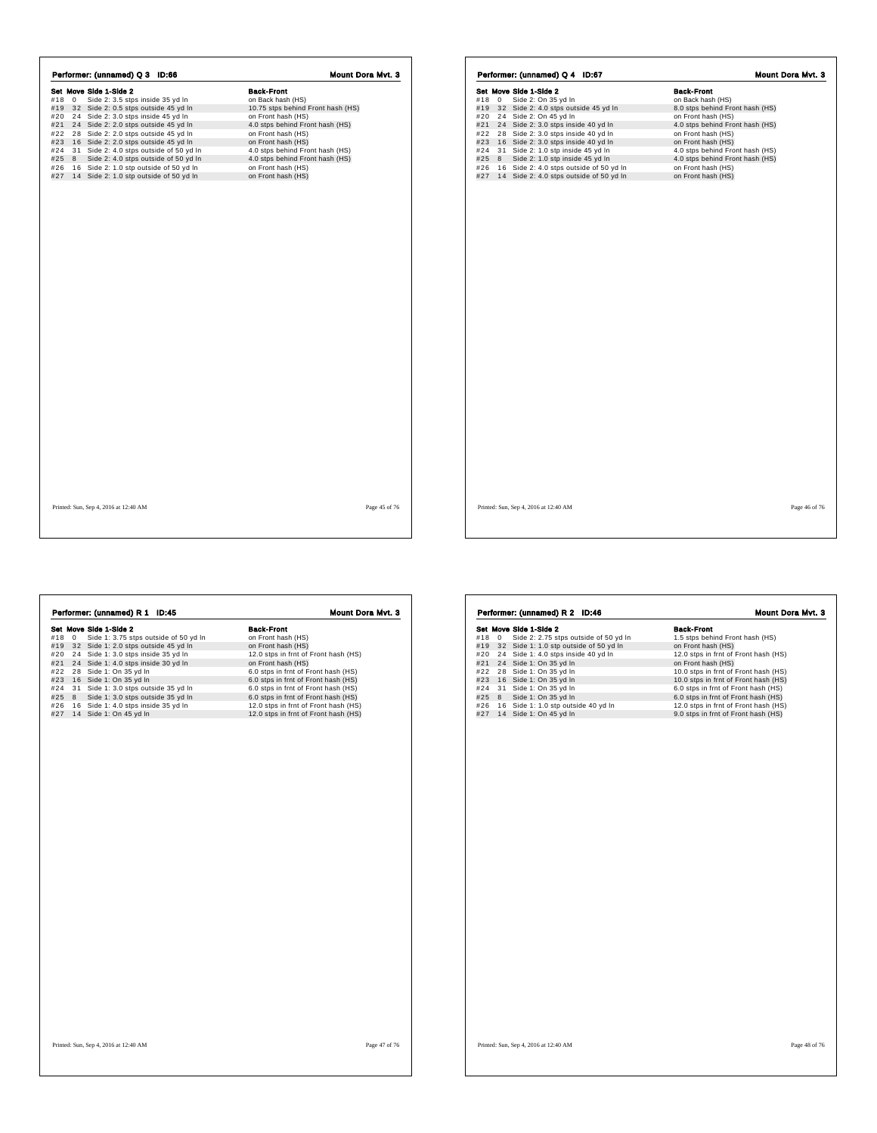| Set Move Side 1-Side 2<br>#18 0<br>#21<br>#22<br>#23<br>#24<br>#25<br>8<br>#26<br>#27 | Side 2: 3.5 stps inside 35 yd In<br>#19 32 Side 2: 0.5 stps outside 45 yd In<br>#20 24 Side 2: 3.0 stps inside 45 yd In<br>24 Side 2: 2.0 stps outside 45 yd In<br>28 Side 2: 2.0 stps outside 45 yd In<br>16 Side 2: 2.0 stps outside 45 yd In<br>31 Side 2: 4.0 stps outside of 50 yd In<br>Side 2: 4.0 stps outside of 50 yd In<br>16 Side 2: 1.0 stp outside of 50 yd In<br>14 Side 2: 1.0 stp outside of 50 yd In | <b>Back-Front</b><br>on Back hash (HS)<br>10.75 stps behind Front hash (HS)<br>on Front hash (HS)<br>4.0 stps behind Front hash (HS)<br>on Front hash (HS)<br>on Front hash (HS)<br>4.0 stps behind Front hash (HS)<br>4.0 stps behind Front hash (HS)<br>on Front hash (HS)<br>on Front hash (HS) |  |
|---------------------------------------------------------------------------------------|------------------------------------------------------------------------------------------------------------------------------------------------------------------------------------------------------------------------------------------------------------------------------------------------------------------------------------------------------------------------------------------------------------------------|----------------------------------------------------------------------------------------------------------------------------------------------------------------------------------------------------------------------------------------------------------------------------------------------------|--|
|                                                                                       |                                                                                                                                                                                                                                                                                                                                                                                                                        |                                                                                                                                                                                                                                                                                                    |  |
|                                                                                       |                                                                                                                                                                                                                                                                                                                                                                                                                        |                                                                                                                                                                                                                                                                                                    |  |
|                                                                                       |                                                                                                                                                                                                                                                                                                                                                                                                                        |                                                                                                                                                                                                                                                                                                    |  |
|                                                                                       |                                                                                                                                                                                                                                                                                                                                                                                                                        |                                                                                                                                                                                                                                                                                                    |  |
|                                                                                       |                                                                                                                                                                                                                                                                                                                                                                                                                        |                                                                                                                                                                                                                                                                                                    |  |
|                                                                                       |                                                                                                                                                                                                                                                                                                                                                                                                                        |                                                                                                                                                                                                                                                                                                    |  |
|                                                                                       |                                                                                                                                                                                                                                                                                                                                                                                                                        |                                                                                                                                                                                                                                                                                                    |  |
|                                                                                       |                                                                                                                                                                                                                                                                                                                                                                                                                        |                                                                                                                                                                                                                                                                                                    |  |
|                                                                                       |                                                                                                                                                                                                                                                                                                                                                                                                                        |                                                                                                                                                                                                                                                                                                    |  |
|                                                                                       |                                                                                                                                                                                                                                                                                                                                                                                                                        |                                                                                                                                                                                                                                                                                                    |  |
|                                                                                       |                                                                                                                                                                                                                                                                                                                                                                                                                        |                                                                                                                                                                                                                                                                                                    |  |

|            |    | Set Move Side 1-Side 2                                                             | <b>Back-Front</b>                        |
|------------|----|------------------------------------------------------------------------------------|------------------------------------------|
| #18        | 0  | Side 2: On 35 yd In                                                                | on Back hash (HS)                        |
| #19        | 32 | Side 2: 4.0 stps outside 45 yd In                                                  | 8.0 stps behind Front hash (HS)          |
| #20        | 24 | Side 2: On 45 yd In                                                                | on Front hash (HS)                       |
| #21        |    | 24 Side 2: 3.0 stps inside 40 yd In                                                | 4.0 stps behind Front hash (HS)          |
| #22        | 28 | Side 2: 3.0 stps inside 40 yd In                                                   | on Front hash (HS)                       |
| #23        | 16 | Side 2: 3.0 stps inside 40 yd In                                                   | on Front hash (HS)                       |
| #24        |    | 31 Side 2: 1.0 stp inside 45 yd In                                                 | 4.0 stps behind Front hash (HS)          |
| #25        | 8  | Side 2: 1.0 stp inside 45 yd In                                                    | 4.0 stps behind Front hash (HS)          |
| #26<br>#27 |    | 16 Side 2: 4.0 stps outside of 50 yd In<br>14 Side 2: 4.0 stps outside of 50 yd In | on Front hash (HS)<br>on Front hash (HS) |
|            |    |                                                                                    |                                          |
|            |    |                                                                                    |                                          |
|            |    |                                                                                    |                                          |
|            |    |                                                                                    |                                          |
|            |    |                                                                                    |                                          |
|            |    |                                                                                    |                                          |
|            |    |                                                                                    |                                          |
|            |    |                                                                                    |                                          |
|            |    |                                                                                    |                                          |
|            |    |                                                                                    |                                          |
|            |    |                                                                                    |                                          |
|            |    |                                                                                    |                                          |
|            |    |                                                                                    |                                          |
|            |    |                                                                                    |                                          |
|            |    |                                                                                    |                                          |
|            |    |                                                                                    |                                          |
|            |    |                                                                                    |                                          |
|            |    |                                                                                    |                                          |
|            |    |                                                                                    |                                          |
|            |    |                                                                                    |                                          |
|            |    |                                                                                    |                                          |
|            |    |                                                                                    |                                          |

Set Move Side 1 - Side 1: 3.75 stps outside of 50 yd In an Front hash (HS)<br>
#19 32 Side 1: 3.0 stps outside 45 yd In on Front hash (HS)<br>
#19 32 Side 1: 3.0 stps inside 35 yd In 12.0 stps in front hash (HS)<br>
#21 24 Side 1: Performer: (unnamed) R 1 ID:45 Mount Dora Mvt. 3

**Set Move Side 1-Side 2**<br> **Side 1:** 2.075 stps outside of 50 yd In 1.5 stps behind Front hash (HS)<br>
#19 32 Side 1: 1.0 stp outside of 50 yd In 12.0 stps behind Front hash (HS)<br>
#20 24 Side 1: 0.0 stps inside 40 yd In 12.0 Performer: (unnamed) R 2 ID:46 Mount Dora Mvt. 3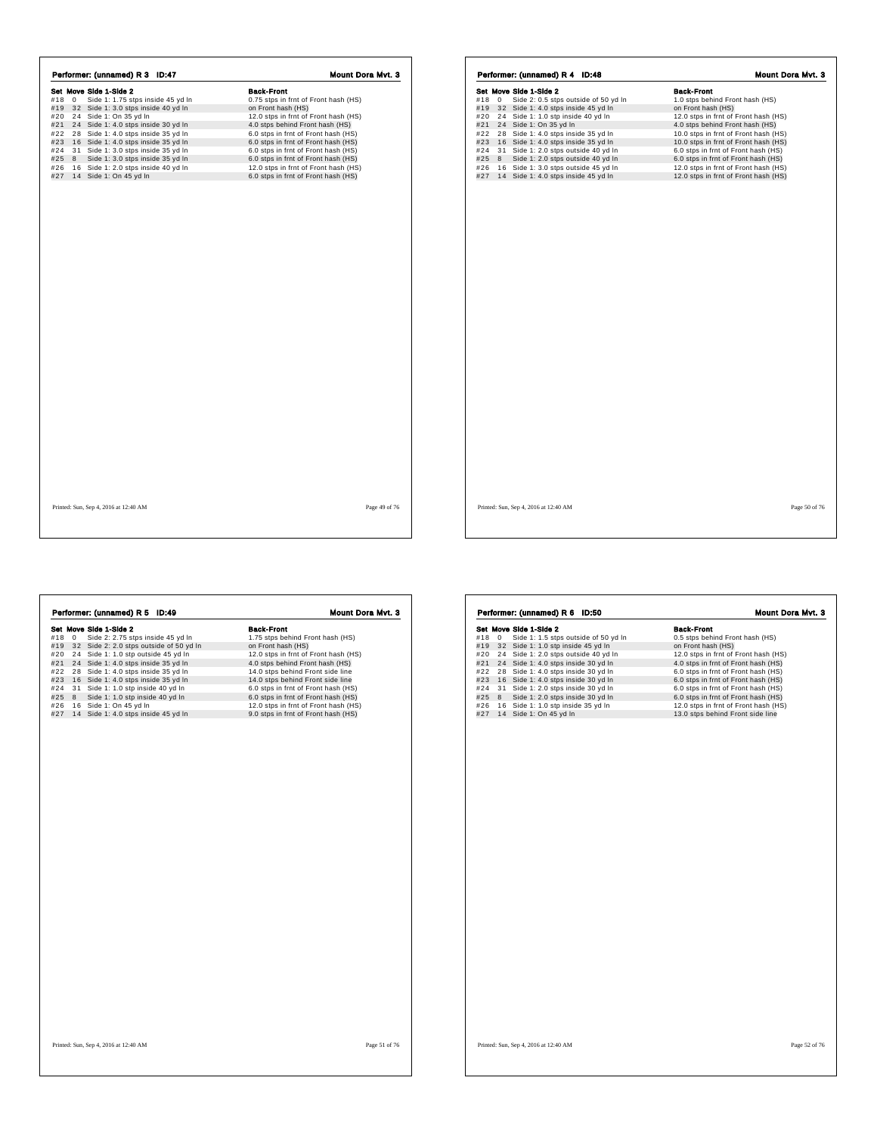|            |             | Performer: (unnamed) R 3 ID:47                                |                                                            |
|------------|-------------|---------------------------------------------------------------|------------------------------------------------------------|
| #18        | $\mathbf 0$ | Set Move Side 1-Side 2<br>Side 1: 1.75 stps inside 45 yd In   | <b>Back-Front</b>                                          |
|            |             |                                                               | 0.75 stps in frnt of Front hash (HS)                       |
| #19<br>#20 |             | 32 Side 1: 3.0 stps inside 40 yd In<br>24 Side 1: On 35 yd In | on Front hash (HS)<br>12.0 stps in frnt of Front hash (HS) |
| #21        |             | 24 Side 1: 4.0 stps inside 30 yd In                           | 4.0 stps behind Front hash (HS)                            |
| #22        |             | 28 Side 1: 4.0 stps inside 35 yd In                           | 6.0 stps in frnt of Front hash (HS)                        |
| #23        |             | 16 Side 1: 4.0 stps inside 35 yd In                           | 6.0 stps in frnt of Front hash (HS)                        |
| #24        | 31          | Side 1: 3.0 stps inside 35 yd In                              | 6.0 stps in frnt of Front hash (HS)                        |
| #25        | 8           | Side 1: 3.0 stps inside 35 yd In                              | 6.0 stps in frnt of Front hash (HS)                        |
| #26        |             | 16 Side 1: 2.0 stps inside 40 yd In                           | 12.0 stps in frnt of Front hash (HS)                       |
| #27        |             | 14 Side 1: On 45 yd In                                        | 6.0 stps in frnt of Front hash (HS)                        |
|            |             |                                                               |                                                            |
|            |             |                                                               |                                                            |
|            |             |                                                               |                                                            |

|     |    | Set Move Side 1-Side 2               | <b>Back-Front</b>                    |
|-----|----|--------------------------------------|--------------------------------------|
| #18 | 0  | Side 2: 0.5 stps outside of 50 yd In | 1.0 stps behind Front hash (HS)      |
| #19 |    | 32 Side 1: 4.0 stps inside 45 yd In  | on Front hash (HS)                   |
| #20 |    | 24 Side 1: 1.0 stp inside 40 yd In   | 12.0 stps in frnt of Front hash (HS) |
| #21 |    | 24 Side 1: On 35 yd In               | 4.0 stps behind Front hash (HS)      |
| #22 |    | 28 Side 1: 4.0 stps inside 35 yd In  | 10.0 stps in frnt of Front hash (HS) |
| #23 |    | 16 Side 1: 4.0 stps inside 35 yd In  | 10.0 stps in frnt of Front hash (HS) |
| #24 | 31 | Side 1: 2.0 stps outside 40 yd In    | 6.0 stps in frnt of Front hash (HS)  |
| #25 | 8  | Side 1: 2.0 stps outside 40 yd In    | 6.0 stps in frnt of Front hash (HS)  |
| #26 |    | 16 Side 1: 3.0 stps outside 45 yd In | 12.0 stps in frnt of Front hash (HS) |
| #27 |    | 14 Side 1: 4.0 stps inside 45 yd In  | 12.0 stps in frnt of Front hash (HS) |
|     |    |                                      |                                      |
|     |    |                                      |                                      |

Printed: Sun, Sep 4, 2016 at 12:40 AM Page 49 of 76

**Set Move Side 1-Side 2**<br> **Set Move Side 2: 2.75** stps inside 45 yd In 1.75 stps behind Front hash (HS)<br>
#19 32 Side 2: 2.0 stps outside 6 50 yd In 12.0 stps behind Front hash (HS)<br>
#22 24 Side 1: 1.0 stp outside 45 yd In Performer: (unnamed) R 5 ID:49 Mount Dora Mvt. 3

**Set Move Side 1-Side 2**<br>#18 0 Side 1: 1.5 stps outside of 50 yd In 0.5 stps behind Front hash (HS)<br>#19 32 Side 1: 1.0 stp inside 45 yd In 1990 on Front hash (HS)<br>#20 24 Side 1: 2.0 stps outside 40 yd In 12.0 stps in frnt #20 24 Side 1: 2.0 stps outside 40 yd In 12.0 stps in fmt of Front hash  $(HS)$ <br>#22 28 Side 1: 4.0 stps inside 30 yd In 4.0 stps in fmt of Front hash  $(HS)$ <br>#22 28 Side 1: 4.0 stps inside 30 yd In 6.0 stps in fmt of Front h **Performer: (unnamed) R 6 ID:50 Mount Dora Mvt. 3**<br> **Set Move Side 1-Side 2**<br>
#18 0 Side 1: 1.5 stps outside of 50 yd In 0.5 stps behind Front hash (HS)<br>
#19 3 2 Side 1: 1.0 stp inside 40 yd In on Front hash (HS)<br>
#21 24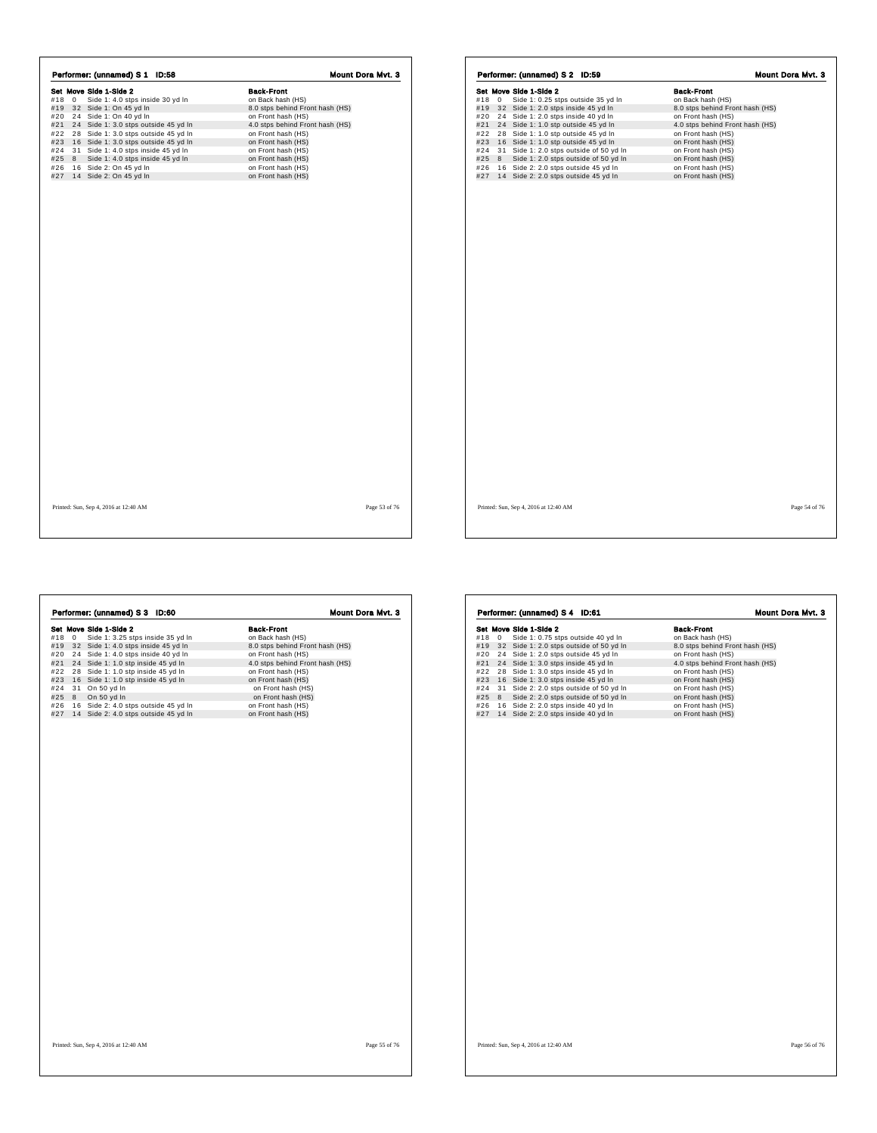|     |              | Performer: (unnamed) S 1 ID:58       | Mount Dora Mvt. 3               |
|-----|--------------|--------------------------------------|---------------------------------|
|     |              | Set Move Side 1-Side 2               | <b>Back-Front</b>               |
| #18 | $\mathbf{0}$ | Side 1: 4.0 stps inside 30 yd In     | on Back hash (HS)               |
| #19 |              | 32 Side 1: On 45 yd In               | 8.0 stps behind Front hash (HS) |
| #20 |              | 24 Side 1: On 40 yd In               | on Front hash (HS)              |
| #21 |              | 24 Side 1: 3.0 stps outside 45 yd In | 4.0 stps behind Front hash (HS) |
| #22 |              | 28 Side 1: 3.0 stps outside 45 yd In | on Front hash (HS)              |
| #23 |              | 16 Side 1: 3.0 stps outside 45 yd In | on Front hash (HS)              |
| #24 |              | 31 Side 1: 4.0 stps inside 45 yd In  | on Front hash (HS)              |
| #25 | 8            | Side 1: 4.0 stps inside 45 yd In     | on Front hash (HS)              |
| #26 |              | 16 Side 2: On 45 yd In               | on Front hash (HS)              |
| #27 |              | 14 Side 2: On 45 yd In               | on Front hash (HS)              |
|     |              |                                      |                                 |
|     |              |                                      |                                 |
|     |              |                                      |                                 |
|     |              |                                      |                                 |

|     |             | Set Move Side 1-Side 2                  | <b>Back-Front</b>               |
|-----|-------------|-----------------------------------------|---------------------------------|
| #18 | $\mathbf 0$ | Side 1: 0.25 stps outside 35 yd In      | on Back hash (HS)               |
| #19 |             | 32 Side 1: 2.0 stps inside 45 yd In     | 8.0 stps behind Front hash (HS) |
| #20 |             | 24 Side 1: 2.0 stps inside 40 yd In     | on Front hash (HS)              |
| #21 |             | 24 Side 1: 1.0 stp outside 45 yd In     | 4.0 stps behind Front hash (HS) |
| #22 |             | 28 Side 1: 1.0 stp outside 45 yd In     | on Front hash (HS)              |
| #23 |             | 16 Side 1: 1.0 stp outside 45 yd In     | on Front hash (HS)              |
| #24 |             | 31 Side 1: 2.0 stps outside of 50 yd In | on Front hash (HS)              |
| #25 | 8           | Side 1: 2.0 stps outside of 50 yd In    | on Front hash (HS)              |
| #26 |             | 16 Side 2: 2.0 stps outside 45 yd In    | on Front hash (HS)              |
| #27 |             | 14 Side 2: 2.0 stps outside 45 yd In    | on Front hash (HS)              |
|     |             |                                         |                                 |
|     |             |                                         |                                 |
|     |             |                                         |                                 |
|     |             |                                         |                                 |
|     |             |                                         |                                 |
|     |             |                                         |                                 |
|     |             |                                         |                                 |
|     |             |                                         |                                 |
|     |             |                                         |                                 |
|     |             |                                         |                                 |
|     |             |                                         |                                 |
|     |             |                                         |                                 |
|     |             |                                         |                                 |
|     |             |                                         |                                 |
|     |             |                                         |                                 |
|     |             |                                         |                                 |
|     |             |                                         |                                 |
|     |             |                                         |                                 |
|     |             |                                         |                                 |
|     |             |                                         |                                 |
|     |             |                                         |                                 |
|     |             |                                         |                                 |
|     |             |                                         |                                 |
|     |             |                                         |                                 |
|     |             |                                         |                                 |
|     |             |                                         |                                 |
|     |             |                                         |                                 |
|     |             |                                         |                                 |
|     |             |                                         |                                 |
|     |             |                                         |                                 |
|     |             |                                         |                                 |
|     |             |                                         |                                 |

Printed: Sun, Sep 4, 2016 at 12:40 AM Page 53 of 76

٦

|     |            | Performer: (unnamed) S 3 ID:60        | Mount Dora Mvt. 3               |
|-----|------------|---------------------------------------|---------------------------------|
|     |            | Set Move Side 1-Side 2                | <b>Back-Front</b>               |
| #18 | $^{\circ}$ | Side 1: 3.25 stps inside 35 yd In     | on Back hash (HS)               |
| #19 |            | 32 Side 1: 4.0 stps inside 45 yd In   | 8.0 stps behind Front hash (HS) |
| #20 |            | 24 Side 1: 4.0 stps inside 40 yd In   | on Front hash (HS)              |
| #21 |            | 24 Side 1: 1.0 stp inside 45 yd In    | 4.0 stps behind Front hash (HS) |
| #22 |            | 28 Side 1: 1.0 stp inside 45 yd In    | on Front hash (HS)              |
| #23 |            | 16 Side 1: 1.0 stp inside 45 yd In    | on Front hash (HS)              |
| #24 |            | 31 On 50 yd In                        | on Front hash (HS)              |
| #25 | 8          | On 50 yd In                           | on Front hash (HS)              |
| #26 |            | 16 Side 2: 4.0 stps outside 45 yd In  | on Front hash (HS)              |
| #27 |            | 14 Side 2: 4.0 stps outside 45 yd In  | on Front hash (HS)              |
|     |            |                                       |                                 |
|     |            |                                       |                                 |
|     |            | Printed: Sun, Sep 4, 2016 at 12:40 AM | Page 55 of 76                   |

Set Move Side 1-Side 2 Back-Front #18 0 Side 1: 0.75 stps outside 40 yd ln on Back hash (HS) #19 3 2 Side 1: 2.0 stps outside of 50 yd ln 8.0 stps behind Front hash (HS) #20 2 4 Side 1: 2.0 stps outside 45 yd ln on Front hash (HS) #21 2 4 Side 1: 3.0 stps inside 45 yd ln 4.0 stps behind Front hash (HS) #22 2 8 Side 1: 3.0 stps inside 45 yd ln on Front hash (HS) #23 1 6 Side 1: 3.0 stps inside 45 yd ln on Front hash (HS) #24 3 1 Side 2: 2.0 stps outside of 50 yd ln on Front hash (HS) #25 8 Side 2: 2.0 stps outside of 50 yd ln on Front hash (HS) #26 1 6 Side 2: 2.0 stps inside 40 yd ln on Front hash (HS) #27 1 4 Side 2: 2.0 stps inside 40 yd ln on Front hash (HS) **Performer: (unnamed) S 4 ID:61 Mount Dora Mvt. 3**<br> **Set Move Side 1-Side 2**<br>
#18 0 Side 1: 0.75 stps outside 40 yd In on Back hash (HS)<br>
#19 3 2 Side 1: 2.0 stps outside 45 yd In 8.0 stps behind Front hash (HS)<br>
#21 24 S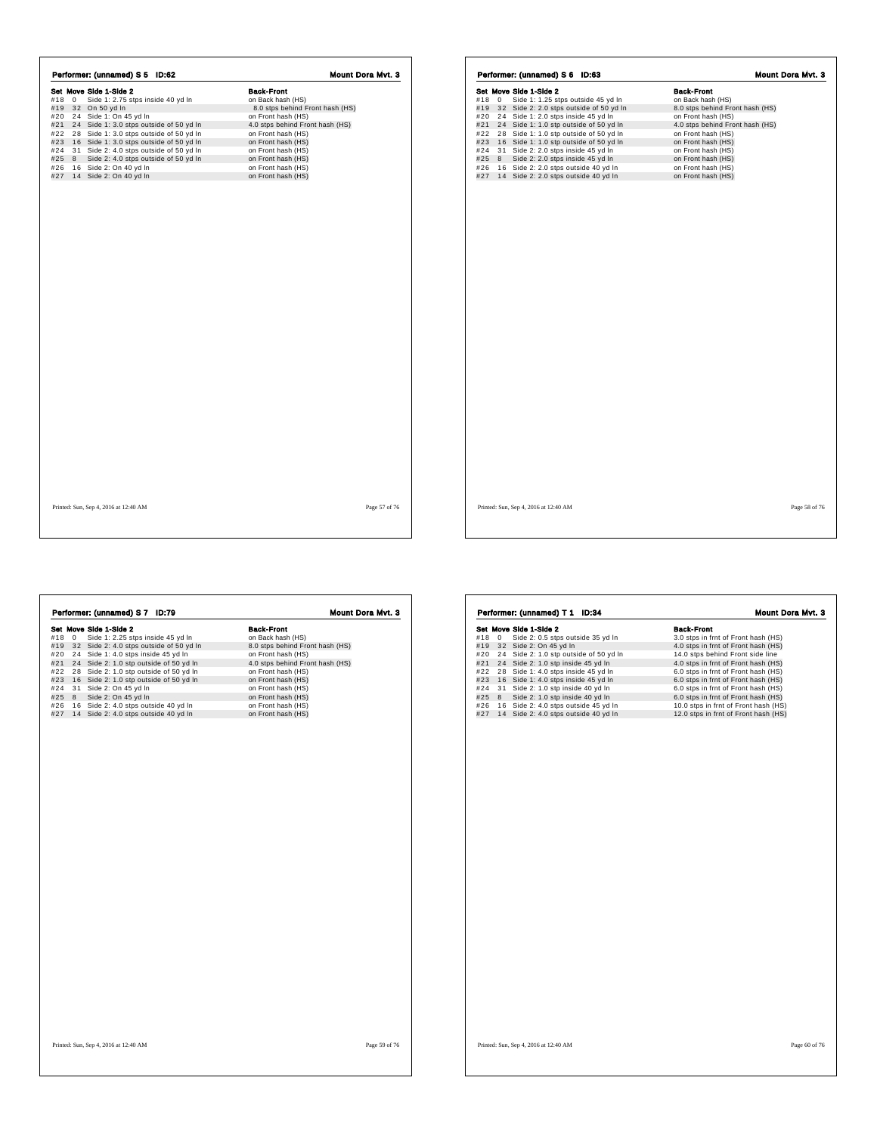|     |              | Set Move Side 1-Side 2                  | <b>Back-Front</b>               |
|-----|--------------|-----------------------------------------|---------------------------------|
| #18 | $\mathbf{0}$ | Side 1: 2.75 stps inside 40 yd In       | on Back hash (HS)               |
| #19 |              | 32 On 50 yd In                          | 8.0 stps behind Front hash (HS) |
| #20 |              | 24 Side 1: On 45 yd In                  | on Front hash (HS)              |
| #21 |              | 24 Side 1: 3.0 stps outside of 50 yd In | 4.0 stps behind Front hash (HS) |
| #22 |              | 28 Side 1: 3.0 stps outside of 50 yd In | on Front hash (HS)              |
| #23 |              | 16 Side 1: 3.0 stps outside of 50 yd In | on Front hash (HS)              |
| #24 |              | 31 Side 2: 4.0 stps outside of 50 yd In | on Front hash (HS)              |
| #25 | 8            | Side 2: 4.0 stps outside of 50 yd In    | on Front hash (HS)              |
| #26 |              | 16 Side 2: On 40 yd In                  | on Front hash (HS)              |
| #27 |              | 14 Side 2: On 40 yd In                  | on Front hash (HS)              |
|     |              |                                         |                                 |
|     |              |                                         |                                 |
|     |              |                                         |                                 |

|     |    | Set Move Side 1-Side 2                  | <b>Back-Front</b>               |
|-----|----|-----------------------------------------|---------------------------------|
| #18 | 0  | Side 1: 1.25 stps outside 45 yd In      | on Back hash (HS)               |
| #19 |    | 32 Side 2: 2.0 stps outside of 50 yd In | 8.0 stps behind Front hash (HS) |
| #20 |    | 24 Side 1: 2.0 stps inside 45 yd In     | on Front hash (HS)              |
| #21 | 24 | Side 1: 1.0 stp outside of 50 yd In     | 4.0 stps behind Front hash (HS) |
| #22 |    | 28 Side 1: 1.0 stp outside of 50 yd In  | on Front hash (HS)              |
| #23 |    | 16 Side 1: 1.0 stp outside of 50 yd In  | on Front hash (HS)              |
| #24 | 31 | Side 2: 2.0 stps inside 45 yd In        | on Front hash (HS)              |
| #25 | 8  | Side 2: 2.0 stps inside 45 yd In        | on Front hash (HS)              |
| #26 |    | 16 Side 2: 2.0 stps outside 40 yd In    | on Front hash (HS)              |
| #27 |    | 14 Side 2: 2.0 stps outside 40 yd In    | on Front hash (HS)              |
|     |    |                                         |                                 |
|     |    |                                         |                                 |

Printed: Sun, Sep 4, 2016 at 12:40 AM Page 57 of 76

 $\Gamma$ 

r

|     |             | Set Move Side 1-Side 2                  | <b>Back-Front</b>               |
|-----|-------------|-----------------------------------------|---------------------------------|
| #18 | $\mathbf 0$ | Side 1: 2.25 stps inside 45 yd In       | on Back hash (HS)               |
| #19 |             | 32 Side 2: 4.0 stps outside of 50 yd In | 8.0 stps behind Front hash (HS) |
| #20 |             | 24 Side 1: 4.0 stps inside 45 yd In     | on Front hash (HS)              |
| #21 |             | 24 Side 2: 1.0 stp outside of 50 yd In  | 4.0 stps behind Front hash (HS) |
| #22 |             | 28 Side 2: 1.0 stp outside of 50 yd In  | on Front hash (HS)              |
| #23 |             | 16 Side 2: 1.0 stp outside of 50 yd In  | on Front hash (HS)              |
| #24 |             | 31 Side 2: On 45 yd In                  | on Front hash (HS)              |
| #25 | 8           | Side 2: On 45 yd In                     | on Front hash (HS)              |
| #26 |             | 16 Side 2: 4.0 stps outside 40 yd In    | on Front hash (HS)              |
| #27 |             | 14 Side 2: 4.0 stps outside 40 yd In    | on Front hash (HS)              |
|     |             |                                         |                                 |
|     |             |                                         |                                 |
|     |             |                                         |                                 |
|     |             |                                         |                                 |
|     |             |                                         |                                 |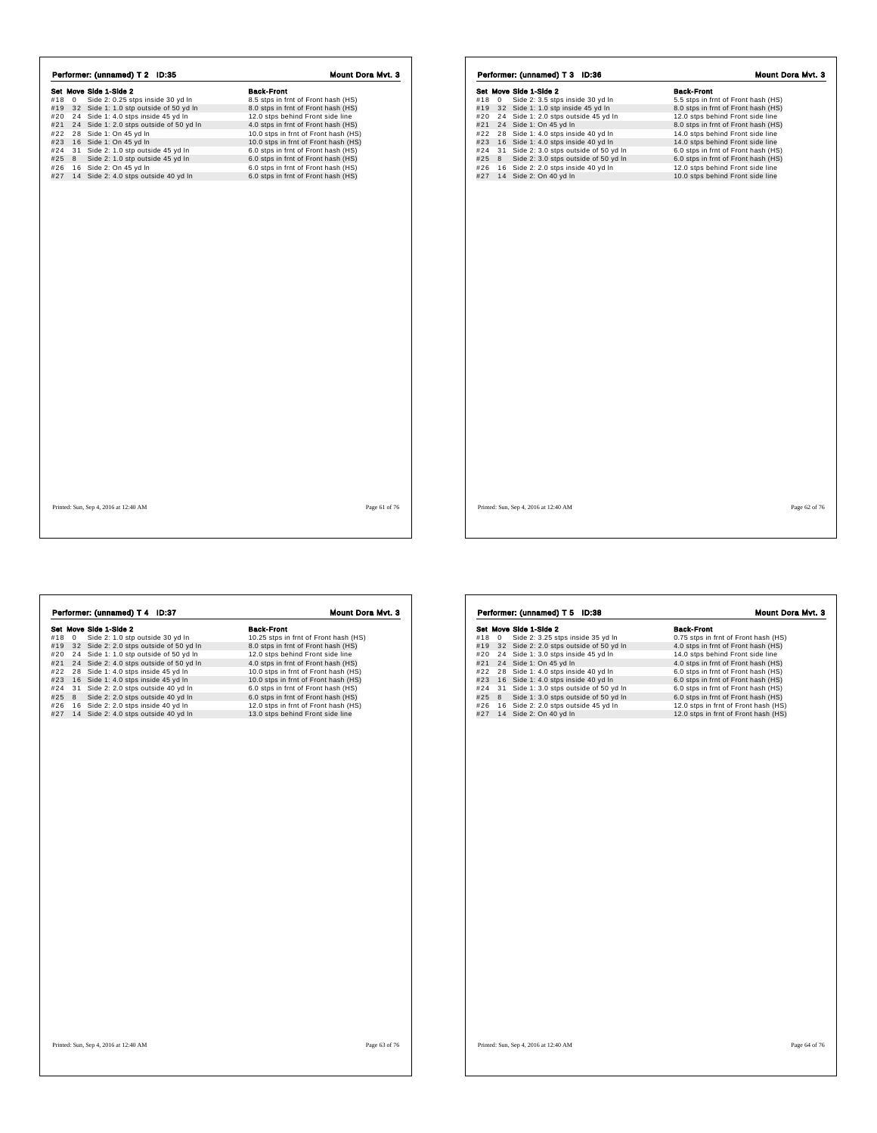|     |   | Performer: (unnamed) T 2 ID:35          | Mount Dora Mvt. 3                    |
|-----|---|-----------------------------------------|--------------------------------------|
|     |   | Set Move Side 1-Side 2                  | <b>Back-Front</b>                    |
| #18 | 0 | Side 2: 0.25 stps inside 30 yd In       | 8.5 stps in frnt of Front hash (HS)  |
| #19 |   | 32 Side 1: 1.0 stp outside of 50 yd In  | 8.0 stps in frnt of Front hash (HS)  |
| #20 |   | 24 Side 1: 4.0 stps inside 45 yd In     | 12.0 stps behind Front side line     |
| #21 |   | 24 Side 1: 2.0 stps outside of 50 yd In | 4.0 stps in frnt of Front hash (HS)  |
| #22 |   | 28 Side 1: On 45 yd In                  | 10.0 stps in frnt of Front hash (HS) |
| #23 |   | 16 Side 1: On 45 yd In                  | 10.0 stps in frnt of Front hash (HS) |
| #24 |   | 31 Side 2: 1.0 stp outside 45 yd In     | 6.0 stps in frnt of Front hash (HS)  |
| #25 | 8 | Side 2: 1.0 stp outside 45 yd In        | 6.0 stps in frnt of Front hash (HS)  |
| #26 |   | 16 Side 2: On 45 yd In                  | 6.0 stps in frnt of Front hash (HS)  |
| #27 |   | 14 Side 2: 4.0 stps outside 40 yd In    | 6.0 stps in frnt of Front hash (HS)  |
|     |   |                                         |                                      |
|     |   |                                         |                                      |
|     |   |                                         |                                      |

| Set Move Side 1-Side 2 |             |                                         |  |  |  |  | <b>Back-Front</b>                   |  |  |  |  |
|------------------------|-------------|-----------------------------------------|--|--|--|--|-------------------------------------|--|--|--|--|
| #18                    | $\mathbf 0$ | Side 2: 3.5 stps inside 30 yd In        |  |  |  |  | 5.5 stps in frnt of Front hash (HS) |  |  |  |  |
| #19                    |             | 32 Side 1: 1.0 stp inside 45 yd In      |  |  |  |  | 8.0 stps in frnt of Front hash (HS) |  |  |  |  |
| #20                    |             | 24 Side 1: 2.0 stps outside 45 yd In    |  |  |  |  | 12.0 stps behind Front side line    |  |  |  |  |
| #21                    |             | 24 Side 1: On 45 yd In                  |  |  |  |  | 8.0 stps in frnt of Front hash (HS) |  |  |  |  |
| #22                    |             | 28 Side 1: 4.0 stps inside 40 yd In     |  |  |  |  | 14.0 stps behind Front side line    |  |  |  |  |
| #23                    |             | 16 Side 1: 4.0 stps inside 40 yd In     |  |  |  |  | 14.0 stps behind Front side line    |  |  |  |  |
| #24                    |             | 31 Side 2: 3.0 stps outside of 50 yd In |  |  |  |  | 6.0 stps in frnt of Front hash (HS) |  |  |  |  |
| #25                    | 8           | Side 2: 3.0 stps outside of 50 yd In    |  |  |  |  | 6.0 stps in frnt of Front hash (HS) |  |  |  |  |
| #26                    |             | 16 Side 2: 2.0 stps inside 40 yd In     |  |  |  |  | 12.0 stps behind Front side line    |  |  |  |  |
| #27                    |             | 14 Side 2: On 40 yd In                  |  |  |  |  | 10.0 stps behind Front side line    |  |  |  |  |
|                        |             |                                         |  |  |  |  |                                     |  |  |  |  |
|                        |             |                                         |  |  |  |  |                                     |  |  |  |  |

**Set Move Side 1-8lde 2**<br> **Set Move Side 2:** 1.0 stp outside 30 yd in<br> **Set Move Side 2:** 1.0 stp outside 30 yd in<br> **Set All 2.5** stps in fmt of Front hash (HS)<br>  $\#29 \quad 24 \quad 51 \text{ det}. 2 \quad 1.0 \text{ s} \text{p}$  outside 4 5 0 yd in **Performer: (unnamed) T 4 ID:37 Mount Dora Mvt. 3**<br> **Set Move Side 1-Side 2**<br>
#18 0 Side 2: 1.0 stp outside 30 yd In 10.25 stps in fmt of Front hash (HS)<br>
#19 32 Side 2: 2.0 stps outside of 50 yd In 8.0 stps behind Front

|     |    | Performer: (unnamed) T 5 ID:38          | Mount Dora Mvt. 3                    |
|-----|----|-----------------------------------------|--------------------------------------|
|     |    | Set Move Side 1-Side 2                  | <b>Back-Front</b>                    |
| #18 | 0  | Side 2: 3.25 stps inside 35 yd In       | 0.75 stps in frnt of Front hash (HS) |
| #19 |    | 32 Side 2: 2.0 stps outside of 50 yd In | 4.0 stps in frnt of Front hash (HS)  |
| #20 |    | 24 Side 1: 3.0 stps inside 45 yd In     | 14.0 stps behind Front side line     |
| #21 |    | 24 Side 1: On 45 yd In                  | 4.0 stps in frnt of Front hash (HS)  |
| #22 | 28 | Side 1: 4.0 stps inside 40 yd In        | 6.0 stps in frnt of Front hash (HS)  |
| #23 | 16 | Side 1: 4.0 stps inside 40 yd In        | 6.0 stps in frnt of Front hash (HS)  |
| #24 |    | 31 Side 1: 3.0 stps outside of 50 yd In | 6.0 stps in frnt of Front hash (HS)  |
| #25 | 8  | Side 1: 3.0 stps outside of 50 yd In    | 6.0 stps in frnt of Front hash (HS)  |
| #26 |    | 16 Side 2: 2.0 stps outside 45 yd In    | 12.0 stps in frnt of Front hash (HS) |
| #27 |    | 14 Side 2: On 40 yd In                  | 12.0 stps in frnt of Front hash (HS) |
|     |    |                                         |                                      |
|     |    |                                         |                                      |
|     |    |                                         |                                      |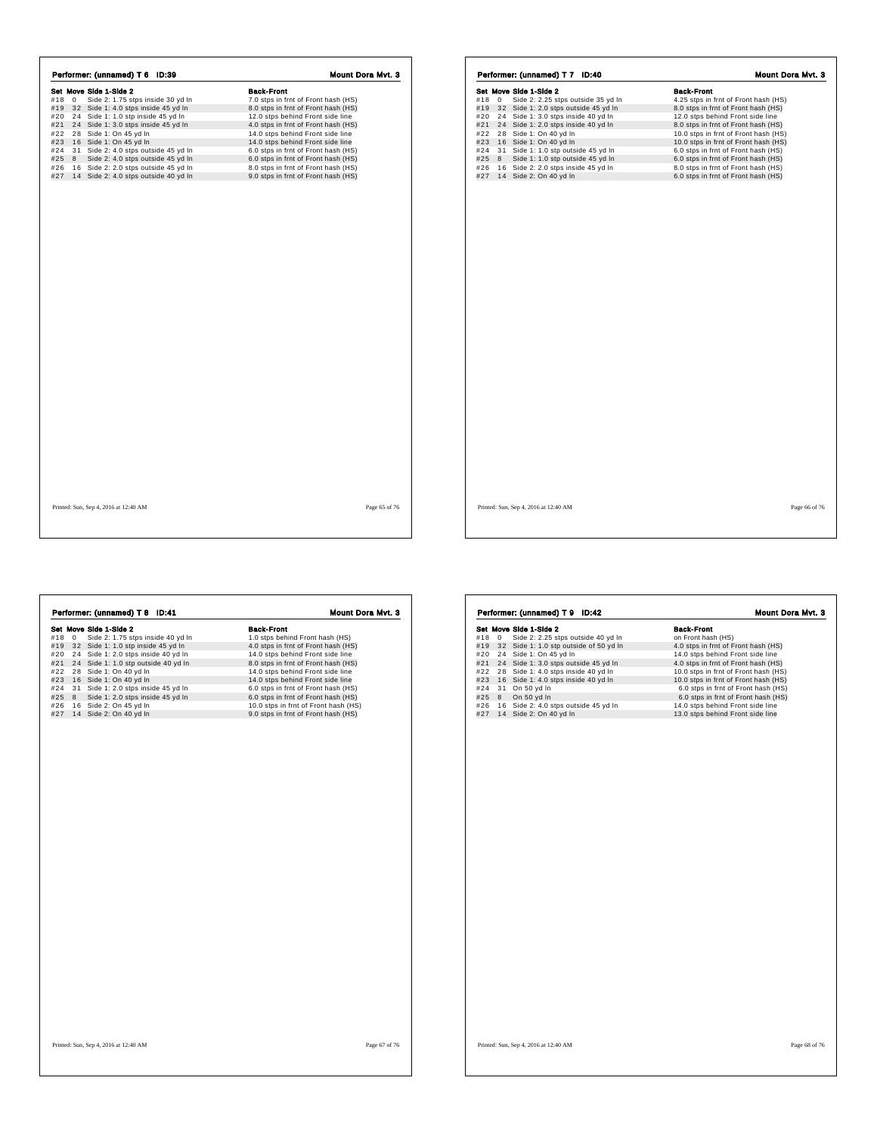|     |             | Performer: (unnamed) T 6 ID:39                                                   | <b>Mount Dora Myt. 3</b>                                                   |
|-----|-------------|----------------------------------------------------------------------------------|----------------------------------------------------------------------------|
|     |             | Set Move Side 1-Side 2                                                           | <b>Back-Front</b>                                                          |
| #18 | $\mathbf 0$ | Side 2: 1.75 stps inside 30 yd In                                                | 7.0 stps in frnt of Front hash (HS)                                        |
| #19 |             | 32 Side 1: 4.0 stps inside 45 yd In                                              | 8.0 stps in frnt of Front hash (HS)                                        |
| #20 |             | 24 Side 1: 1.0 stp inside 45 yd In                                               | 12.0 stps behind Front side line                                           |
| #21 |             | 24 Side 1: 3.0 stps inside 45 yd In                                              | 4.0 stps in frnt of Front hash (HS)                                        |
| #22 |             | 28 Side 1: On 45 yd In                                                           | 14.0 stps behind Front side line                                           |
| #23 |             | 16 Side 1: On 45 yd In                                                           | 14.0 stps behind Front side line                                           |
| #24 |             | 31 Side 2: 4.0 stps outside 45 yd In                                             | 6.0 stps in frnt of Front hash (HS)                                        |
| #25 | 8           | Side 2: 4.0 stps outside 45 yd In                                                | 6.0 stps in frnt of Front hash (HS)                                        |
| #26 |             | 16 Side 2: 2.0 stps outside 45 yd In<br>#27 14 Side 2: 4.0 stps outside 40 yd In | 8.0 stps in frnt of Front hash (HS)<br>9.0 stps in frnt of Front hash (HS) |
|     |             |                                                                                  |                                                                            |
|     |             |                                                                                  |                                                                            |
|     |             | Printed: Sun, Sep 4, 2016 at 12:40 AM                                            | Page 65 of 76                                                              |

|     |   | Set Move Side 1-Side 2 |                                      |  | <b>Back-Front</b>                    |  |  |
|-----|---|------------------------|--------------------------------------|--|--------------------------------------|--|--|
| #18 | 0 |                        | Side 2: 2.25 stps outside 35 yd In   |  | 4.25 stps in frnt of Front hash (HS) |  |  |
| #19 |   |                        | 32 Side 1: 2.0 stps outside 45 yd In |  | 8.0 stps in frnt of Front hash (HS)  |  |  |
| #20 |   |                        | 24 Side 1: 3.0 stps inside 40 yd In  |  | 12.0 stps behind Front side line     |  |  |
| #21 |   |                        | 24 Side 1: 2.0 stps inside 40 yd In  |  | 8.0 stps in frnt of Front hash (HS)  |  |  |
| #22 |   | 28 Side 1: On 40 yd In |                                      |  | 10.0 stps in frnt of Front hash (HS) |  |  |
| #23 |   | 16 Side 1: On 40 yd In |                                      |  | 10.0 stps in frnt of Front hash (HS) |  |  |
| #24 |   |                        | 31 Side 1: 1.0 stp outside 45 yd In  |  | 6.0 stps in frnt of Front hash (HS)  |  |  |
| #25 | 8 |                        | Side 1: 1.0 stp outside 45 yd In     |  | 6.0 stps in frnt of Front hash (HS)  |  |  |
| #26 |   |                        | 16 Side 2: 2.0 stps inside 45 yd In  |  | 8.0 stps in frnt of Front hash (HS)  |  |  |
| #27 |   | 14 Side 2: On 40 yd In |                                      |  | 6.0 stps in frnt of Front hash (HS)  |  |  |
|     |   |                        |                                      |  |                                      |  |  |
|     |   |                        |                                      |  |                                      |  |  |
|     |   |                        |                                      |  |                                      |  |  |
|     |   |                        |                                      |  |                                      |  |  |
|     |   |                        |                                      |  |                                      |  |  |
|     |   |                        |                                      |  |                                      |  |  |
|     |   |                        |                                      |  |                                      |  |  |
|     |   |                        |                                      |  |                                      |  |  |
|     |   |                        |                                      |  |                                      |  |  |
|     |   |                        |                                      |  |                                      |  |  |
|     |   |                        |                                      |  |                                      |  |  |
|     |   |                        |                                      |  |                                      |  |  |
|     |   |                        |                                      |  |                                      |  |  |
|     |   |                        |                                      |  |                                      |  |  |
|     |   |                        |                                      |  |                                      |  |  |
|     |   |                        |                                      |  |                                      |  |  |
|     |   |                        |                                      |  |                                      |  |  |
|     |   |                        |                                      |  |                                      |  |  |
|     |   |                        |                                      |  |                                      |  |  |
|     |   |                        |                                      |  |                                      |  |  |
|     |   |                        |                                      |  |                                      |  |  |

 $\sqrt{ }$ 

| Set Move Side 1-Side 2<br><b>Back-Front</b><br>Side 2: 1.75 stps inside 40 yd In<br>$\mathbf 0$<br>1.0 stps behind Front hash (HS)<br>#19<br>32 Side 1: 1.0 stp inside 45 yd In<br>4.0 stps in frnt of Front hash (HS)<br>24 Side 1: 2.0 stps inside 40 yd In<br>14.0 stps behind Front side line<br>#21<br>24 Side 1: 1.0 stp outside 40 yd In<br>8.0 stps in frnt of Front hash (HS)<br>#22<br>14.0 stps behind Front side line<br>28 Side 1: On 40 yd In<br>#23<br>16 Side 1: On 40 yd In<br>14.0 stps behind Front side line<br>#24<br>31 Side 1: 2.0 stps inside 45 yd In<br>6.0 stps in frnt of Front hash (HS)<br>#25<br>8<br>Side 1: 2.0 stps inside 45 yd In<br>6.0 stps in frnt of Front hash (HS)<br>#26<br>16 Side 2: On 45 yd In<br>10.0 stps in frnt of Front hash (HS)<br>#27<br>14 Side 2: On 40 yd In<br>9.0 stps in frnt of Front hash (HS) |     | Performer: (unnamed) T 8 ID:41 | Mount Dora Mvt. 3 |  |  |
|---------------------------------------------------------------------------------------------------------------------------------------------------------------------------------------------------------------------------------------------------------------------------------------------------------------------------------------------------------------------------------------------------------------------------------------------------------------------------------------------------------------------------------------------------------------------------------------------------------------------------------------------------------------------------------------------------------------------------------------------------------------------------------------------------------------------------------------------------------------|-----|--------------------------------|-------------------|--|--|
|                                                                                                                                                                                                                                                                                                                                                                                                                                                                                                                                                                                                                                                                                                                                                                                                                                                               |     |                                |                   |  |  |
|                                                                                                                                                                                                                                                                                                                                                                                                                                                                                                                                                                                                                                                                                                                                                                                                                                                               | #18 |                                |                   |  |  |
|                                                                                                                                                                                                                                                                                                                                                                                                                                                                                                                                                                                                                                                                                                                                                                                                                                                               |     |                                |                   |  |  |
|                                                                                                                                                                                                                                                                                                                                                                                                                                                                                                                                                                                                                                                                                                                                                                                                                                                               | #20 |                                |                   |  |  |
|                                                                                                                                                                                                                                                                                                                                                                                                                                                                                                                                                                                                                                                                                                                                                                                                                                                               |     |                                |                   |  |  |
|                                                                                                                                                                                                                                                                                                                                                                                                                                                                                                                                                                                                                                                                                                                                                                                                                                                               |     |                                |                   |  |  |
|                                                                                                                                                                                                                                                                                                                                                                                                                                                                                                                                                                                                                                                                                                                                                                                                                                                               |     |                                |                   |  |  |
|                                                                                                                                                                                                                                                                                                                                                                                                                                                                                                                                                                                                                                                                                                                                                                                                                                                               |     |                                |                   |  |  |
|                                                                                                                                                                                                                                                                                                                                                                                                                                                                                                                                                                                                                                                                                                                                                                                                                                                               |     |                                |                   |  |  |
|                                                                                                                                                                                                                                                                                                                                                                                                                                                                                                                                                                                                                                                                                                                                                                                                                                                               |     |                                |                   |  |  |
|                                                                                                                                                                                                                                                                                                                                                                                                                                                                                                                                                                                                                                                                                                                                                                                                                                                               |     |                                |                   |  |  |
|                                                                                                                                                                                                                                                                                                                                                                                                                                                                                                                                                                                                                                                                                                                                                                                                                                                               |     |                                |                   |  |  |
|                                                                                                                                                                                                                                                                                                                                                                                                                                                                                                                                                                                                                                                                                                                                                                                                                                                               |     |                                |                   |  |  |
|                                                                                                                                                                                                                                                                                                                                                                                                                                                                                                                                                                                                                                                                                                                                                                                                                                                               |     |                                |                   |  |  |
|                                                                                                                                                                                                                                                                                                                                                                                                                                                                                                                                                                                                                                                                                                                                                                                                                                                               |     |                                |                   |  |  |
|                                                                                                                                                                                                                                                                                                                                                                                                                                                                                                                                                                                                                                                                                                                                                                                                                                                               |     |                                |                   |  |  |

|     |    | Performer: (unnamed) T 9 ID:42         | <b>Mount Dora Mvt. 3</b>             |  |
|-----|----|----------------------------------------|--------------------------------------|--|
|     |    | Set Move Side 1-Side 2                 | <b>Back-Front</b>                    |  |
| #18 | 0  | Side 2: 2.25 stps outside 40 yd In     | on Front hash (HS)                   |  |
| #19 |    | 32 Side 1: 1.0 stp outside of 50 yd In | 4.0 stps in frnt of Front hash (HS)  |  |
| #20 |    | 24 Side 1: On 45 yd In                 | 14.0 stps behind Front side line     |  |
| #21 |    | 24 Side 1: 3.0 stps outside 45 yd In   | 4.0 stps in frnt of Front hash (HS)  |  |
| #22 | 28 | Side 1: 4.0 stps inside 40 yd In       | 10.0 stps in frnt of Front hash (HS) |  |
| #23 |    | 16 Side 1: 4.0 stps inside 40 yd In    | 10.0 stps in frnt of Front hash (HS) |  |
| #24 | 31 | On 50 yd In                            | 6.0 stps in frnt of Front hash (HS)  |  |
| #25 | 8  | On 50 yd In                            | 6.0 stps in frnt of Front hash (HS)  |  |
| #26 |    | 16 Side 2: 4.0 stps outside 45 yd In   | 14.0 stps behind Front side line     |  |
| #27 |    | 14 Side 2: On 40 yd In                 | 13.0 stps behind Front side line     |  |
|     |    |                                        |                                      |  |
|     |    |                                        |                                      |  |
|     |    |                                        |                                      |  |
|     |    |                                        |                                      |  |
|     |    |                                        |                                      |  |
|     |    |                                        |                                      |  |

 $\sqrt{ }$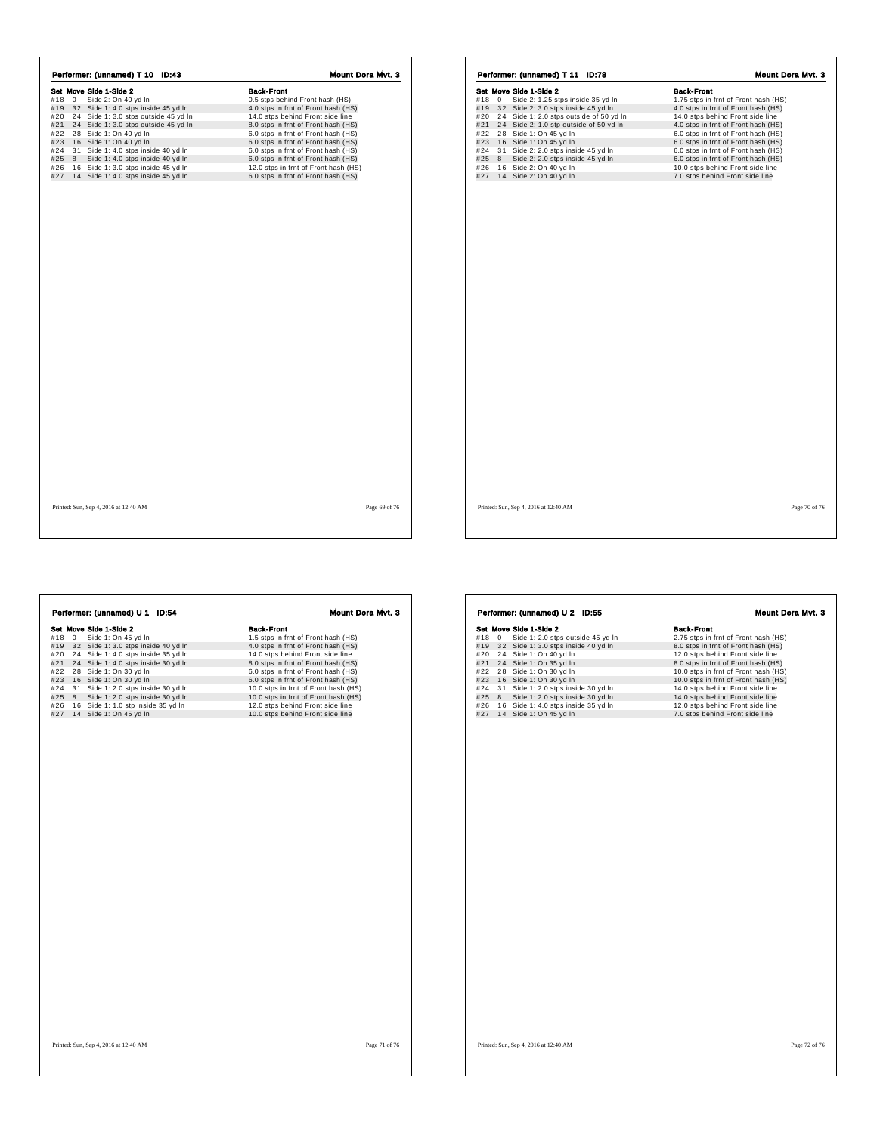| Performer: (unnamed) T 10 ID:43 |              |                                         | Mount Dora Mvt. 3                    |  |
|---------------------------------|--------------|-----------------------------------------|--------------------------------------|--|
|                                 |              | Set Move Side 1-Side 2                  | <b>Back-Front</b>                    |  |
| #18                             | $\mathbf{0}$ | Side 2: On 40 yd In                     | 0.5 stps behind Front hash (HS)      |  |
| #19                             |              | 32 Side 1: 4.0 stps inside 45 yd In     | 4.0 stps in frnt of Front hash (HS)  |  |
| #20                             |              | 24 Side 1: 3.0 stps outside 45 yd In    | 14.0 stps behind Front side line     |  |
| #21                             |              | 24 Side 1: 3.0 stps outside 45 yd In    | 8.0 stps in frnt of Front hash (HS)  |  |
| #22                             |              | 28 Side 1: On 40 yd In                  | 6.0 stps in frnt of Front hash (HS)  |  |
| #23                             |              | 16 Side 1: On 40 yd In                  | 6.0 stps in frnt of Front hash (HS)  |  |
| #24                             |              | 31 Side 1: 4.0 stps inside 40 yd In     | 6.0 stps in frnt of Front hash (HS)  |  |
| #25                             | 8            | Side 1: 4.0 stps inside 40 yd In        | 6.0 stps in frnt of Front hash (HS)  |  |
| #26                             |              | 16 Side 1: 3.0 stps inside 45 yd In     | 12.0 stps in frnt of Front hash (HS) |  |
|                                 |              | #27 14 Side 1: 4.0 stps inside 45 yd In | 6.0 stps in frnt of Front hash (HS)  |  |
|                                 |              |                                         |                                      |  |
|                                 |              |                                         |                                      |  |

|     |   | Set Move Side 1-Side 2              |                                         | <b>Back-Front</b>                    |  |
|-----|---|-------------------------------------|-----------------------------------------|--------------------------------------|--|
| #18 | 0 | Side 2: 1.25 stps inside 35 yd In   |                                         | 1.75 stps in frnt of Front hash (HS) |  |
| #19 |   | 32 Side 2: 3.0 stps inside 45 yd In |                                         | 4.0 stps in frnt of Front hash (HS)  |  |
| #20 |   |                                     | 24 Side 1: 2.0 stps outside of 50 yd In | 14.0 stps behind Front side line     |  |
| #21 |   |                                     | 24 Side 2: 1.0 stp outside of 50 yd In  | 4.0 stps in frnt of Front hash (HS)  |  |
| #22 |   | 28 Side 1: On 45 yd In              |                                         | 6.0 stps in frnt of Front hash (HS)  |  |
| #23 |   | 16 Side 1: On 45 yd In              |                                         | 6.0 stps in frnt of Front hash (HS)  |  |
| #24 |   | 31 Side 2: 2.0 stps inside 45 yd In |                                         | 6.0 stps in frnt of Front hash (HS)  |  |
| #25 | 8 | Side 2: 2.0 stps inside 45 yd In    |                                         | 6.0 stps in frnt of Front hash (HS)  |  |
| #26 |   | 16 Side 2: On 40 yd In              |                                         | 10.0 stps behind Front side line     |  |
| #27 |   | 14 Side 2: On 40 yd In              |                                         | 7.0 stps behind Front side line      |  |
|     |   |                                     |                                         |                                      |  |
|     |   |                                     |                                         |                                      |  |

Set Move Side 1-Side 2 Back-Front #18 0 Side 1: On 45 yd ln 1.5 stps in frnt of Front hash (HS) #19 3 2 Side 1: 3.0 stps inside 40 yd ln 4.0 stps in frnt of Front hash (HS) #20 2 4 Side 1: 4.0 stps inside 35 yd ln 14.0 stps behind Front side line #21 2 4 Side 1: 4.0 stps inside 30 yd ln 8.0 stps in frnt of Front hash (HS) #22 2 8 Side 1: On 30 yd ln 6.0 stps in frnt of Front hash (HS) #23 1 6 Side 1: On 30 yd ln 6.0 stps in frnt of Front hash (HS) #24 3 1 Side 1: 2.0 stps inside 30 yd ln 10.0 stps in frnt of Front hash (HS) #25 8 Side 1: 2.0 stps inside 30 yd ln 10.0 stps in frnt of Front hash (HS) #26 1 6 Side 1: 1.0 stp inside 35 yd ln 12.0 stps behind Front side line #27 1 4 Side 1: On 45 yd ln 10.0 stps behind Front side line Performer: (unnamed) U 1 ID:54 Mount Dora Mvt. 3

**Set Move Side 1-Side 2**<br> **Set Move Side 1:** 2.0 stps outside 45 yd In<br>
#19 32 Side 1: 3.0 stps inside 40 yd In<br>
#22 24 Side 1: On 40 yd In<br>
#22 24 Side 1: On 40 yd In<br>
#22 28 Side 1: On 35 yd In<br>
#22 28 Side 1: On 30 yd I Performer: (unnamed) U 2 ID:55 Mount Dora Mvt. 3